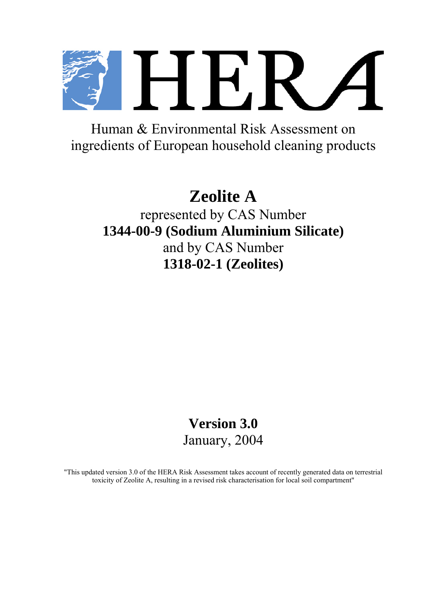H F.R

Human & Environmental Risk Assessment on ingredients of European household cleaning products

# **Zeolite A**

represented by CAS Number **1344-00-9 (Sodium Aluminium Silicate)**  and by CAS Number **1318-02-1 (Zeolites)**

## **Version 3.0**  January, 2004

"This updated version 3.0 of the HERA Risk Assessment takes account of recently generated data on terrestrial toxicity of Zeolite A, resulting in a revised risk characterisation for local soil compartment"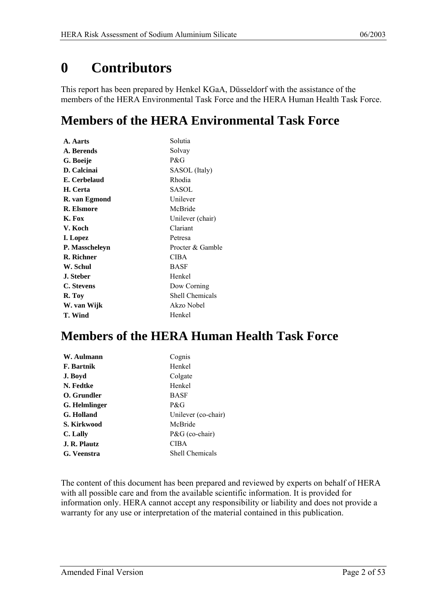## <span id="page-1-0"></span>**0 Contributors**

This report has been prepared by Henkel KGaA, Düsseldorf with the assistance of the members of the HERA Environmental Task Force and the HERA Human Health Task Force.

## **Members of the HERA Environmental Task Force**

| A. Aarts          | Solutia                |
|-------------------|------------------------|
| A. Berends        | Solvay                 |
| G. Boeije         | P&G                    |
| D. Calcinai       | SASOL (Italy)          |
| E. Cerbelaud      | Rhodia                 |
| H. Certa          | SASOL                  |
| R. van Egmond     | Unilever               |
| R. Elsmore        | McBride                |
| K. Fox            | Unilever (chair)       |
| V. Koch           | Clariant               |
| I. Lopez          | Petresa                |
| P. Masscheleyn    | Procter & Gamble       |
| <b>R.</b> Richner | CIBA                   |
| W. Schul          | BASF                   |
| <b>J.</b> Steber  | Henkel                 |
| C. Stevens        | Dow Corning            |
| R. Toy            | <b>Shell Chemicals</b> |
| W. van Wijk       | Akzo Nobel             |
| T. Wind           | Henkel                 |

## **Members of the HERA Human Health Task Force**

| W. Aulmann    | Cognis                 |
|---------------|------------------------|
| F. Bartnik    | Henkel                 |
| J. Boyd       | Colgate                |
| N. Fedtke     | Henkel                 |
| O. Grundler   | <b>BASF</b>            |
| G. Helmlinger | P&G                    |
| G. Holland    | Unilever (co-chair)    |
| S. Kirkwood   | McBride                |
| C. Lally      | $P\&G$ (co-chair)      |
| J. R. Plautz  | <b>CIBA</b>            |
| G. Veenstra   | <b>Shell Chemicals</b> |
|               |                        |

The content of this document has been prepared and reviewed by experts on behalf of HERA with all possible care and from the available scientific information. It is provided for information only. HERA cannot accept any responsibility or liability and does not provide a warranty for any use or interpretation of the material contained in this publication.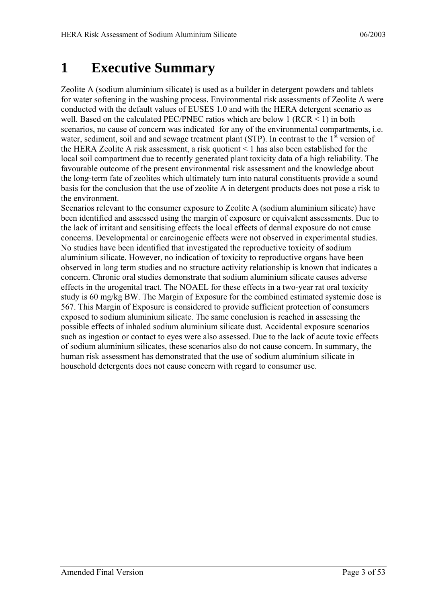## <span id="page-2-0"></span>**1 Executive Summary**

Zeolite A (sodium aluminium silicate) is used as a builder in detergent powders and tablets for water softening in the washing process. Environmental risk assessments of Zeolite A were conducted with the default values of EUSES 1.0 and with the HERA detergent scenario as well. Based on the calculated PEC/PNEC ratios which are below 1 ( $RCR < 1$ ) in both scenarios, no cause of concern was indicated for any of the environmental compartments, i.e. water, sediment, soil and and sewage treatment plant (STP). In contrast to the 1<sup>st</sup> version of the HERA Zeolite A risk assessment, a risk quotient < 1 has also been established for the local soil compartment due to recently generated plant toxicity data of a high reliability. The favourable outcome of the present environmental risk assessment and the knowledge about the long-term fate of zeolites which ultimately turn into natural constituents provide a sound basis for the conclusion that the use of zeolite A in detergent products does not pose a risk to the environment.

Scenarios relevant to the consumer exposure to Zeolite A (sodium aluminium silicate) have been identified and assessed using the margin of exposure or equivalent assessments. Due to the lack of irritant and sensitising effects the local effects of dermal exposure do not cause concerns. Developmental or carcinogenic effects were not observed in experimental studies. No studies have been identified that investigated the reproductive toxicity of sodium aluminium silicate. However, no indication of toxicity to reproductive organs have been observed in long term studies and no structure activity relationship is known that indicates a concern. Chronic oral studies demonstrate that sodium aluminium silicate causes adverse effects in the urogenital tract. The NOAEL for these effects in a two-year rat oral toxicity study is 60 mg/kg BW. The Margin of Exposure for the combined estimated systemic dose is 567. This Margin of Exposure is considered to provide sufficient protection of consumers exposed to sodium aluminium silicate. The same conclusion is reached in assessing the possible effects of inhaled sodium aluminium silicate dust. Accidental exposure scenarios such as ingestion or contact to eyes were also assessed. Due to the lack of acute toxic effects of sodium aluminium silicates, these scenarios also do not cause concern. In summary, the human risk assessment has demonstrated that the use of sodium aluminium silicate in household detergents does not cause concern with regard to consumer use.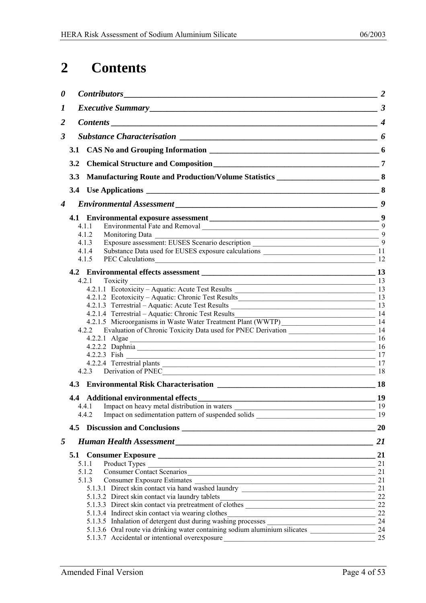## <span id="page-3-0"></span>**2 Contents**

| 0                |            |                                                                                                                                   |     |
|------------------|------------|-----------------------------------------------------------------------------------------------------------------------------------|-----|
| 1                |            |                                                                                                                                   |     |
| $\overline{2}$   |            |                                                                                                                                   |     |
| 3                |            |                                                                                                                                   |     |
|                  |            |                                                                                                                                   |     |
|                  |            |                                                                                                                                   |     |
|                  | 3.2        |                                                                                                                                   |     |
|                  | <b>3.3</b> |                                                                                                                                   |     |
|                  |            |                                                                                                                                   |     |
| $\boldsymbol{4}$ |            |                                                                                                                                   |     |
|                  |            |                                                                                                                                   |     |
|                  |            | 4.1.1                                                                                                                             |     |
|                  |            | 4.1.2                                                                                                                             |     |
|                  |            | 4.1.3                                                                                                                             |     |
|                  |            | 4.1.4                                                                                                                             |     |
|                  |            | PEC Calculations 12<br>4.1.5                                                                                                      |     |
|                  |            |                                                                                                                                   |     |
|                  |            |                                                                                                                                   |     |
|                  |            | Toxicity<br>$\frac{13}{13}$<br>4.2.1                                                                                              | 13  |
|                  |            | 4.2.1.1 Ecotoxicity – Aquatic: Acute Test Results                                                                                 |     |
|                  |            |                                                                                                                                   |     |
|                  |            | 4.2.1.4 Terrestrial – Aquatic: Chronic Test Results                                                                               |     |
|                  |            | $\sim$ 14                                                                                                                         |     |
|                  |            | 4.2.2 Evaluation of Chronic Toxicity Data used for PNEC Derivation _________________________________ 14                           |     |
|                  |            |                                                                                                                                   | -16 |
|                  |            | $4.2.2.1$ Algae<br>4.2.2.2 Daphnia 16                                                                                             |     |
|                  |            | 4.2.2.3 Fish 17                                                                                                                   |     |
|                  |            | 4.2.2.4 Terrestrial plants 17                                                                                                     |     |
|                  |            |                                                                                                                                   |     |
|                  |            |                                                                                                                                   |     |
|                  |            |                                                                                                                                   |     |
|                  |            |                                                                                                                                   |     |
|                  |            | 4.4.1 Impact on heavy metal distribution in waters                                                                                | 19  |
|                  |            | 4.4.2                                                                                                                             |     |
|                  |            |                                                                                                                                   | 20  |
| 5                |            |                                                                                                                                   | 21  |
|                  |            |                                                                                                                                   | 21  |
|                  |            | 5.1.1                                                                                                                             | 21  |
|                  |            | Consumer Contact Scenarios<br>5.1.2                                                                                               | 21  |
|                  |            | 5.1.3                                                                                                                             | 21  |
|                  |            | 3 Consumer Exposure Estimates<br>5.1.3.1 Direct skin contact via hand washed laundry                                              | 21  |
|                  |            | 5.1.3.2 Direct skin contact via laundry tablets_________________________________                                                  | 22  |
|                  |            | 5.1.3.3 Direct skin contact via pretreatment of clothes _________________________                                                 | 22  |
|                  |            | 5.1.3.4 Indirect skin contact via wearing clothes_______________________________                                                  | 22  |
|                  |            |                                                                                                                                   | 24  |
|                  |            |                                                                                                                                   | 24  |
|                  |            | 5.1.3.7 Accidental or intentional overexposure<br>the contract of the contract of the contract of the contract of the contract of | 25  |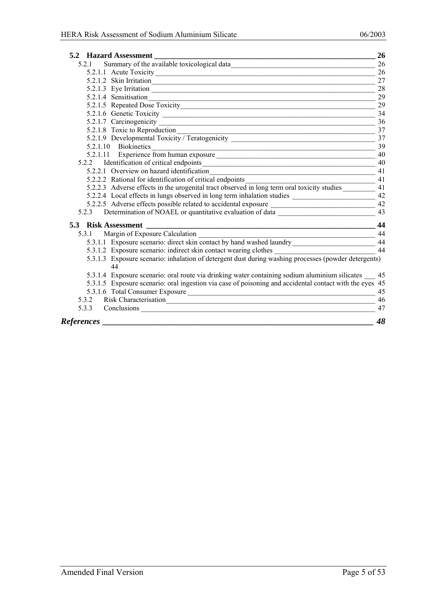|                   | <b>5.2 Hazard Assessment</b>                                                                                       | 26 |
|-------------------|--------------------------------------------------------------------------------------------------------------------|----|
| 5 2 1             | Summary of the available toxicological data                                                                        | 26 |
|                   |                                                                                                                    | 26 |
|                   | 5.2.1.2 Skin Irritation                                                                                            | 27 |
|                   |                                                                                                                    | 28 |
|                   | 5.2.1.4 Sensitisation                                                                                              | 29 |
|                   |                                                                                                                    | 29 |
|                   |                                                                                                                    | 34 |
|                   |                                                                                                                    | 36 |
|                   |                                                                                                                    | 37 |
|                   | 5.2.1.8 Toxic to Reproduction<br>5.2.1.9 Developmental Toxicity / Teratogenicity _________________________________ | 37 |
|                   | 5.2.1.10 Biokinetics                                                                                               | 39 |
|                   |                                                                                                                    | 40 |
|                   | 5.2.2 Identification of critical endpoints                                                                         | 40 |
|                   |                                                                                                                    | 41 |
|                   | 5.2.2.2 Rational for identification of critical endpoints _______________________                                  | 41 |
|                   | 5.2.2.3 Adverse effects in the urogenital tract observed in long term oral toxicity studies                        | 41 |
|                   | 5.2.2.4 Local effects in lungs observed in long term inhalation studies ___________________________ 42             |    |
|                   |                                                                                                                    |    |
|                   | 5.2.3 Determination of NOAEL or quantitative evaluation of data _________________                                  | 43 |
|                   |                                                                                                                    |    |
|                   |                                                                                                                    |    |
|                   | 5.3.1.1 Exposure scenario: direct skin contact by hand washed laundry ______________________________ 44            |    |
|                   | 5.3.1.2 Exposure scenario: indirect skin contact wearing clothes                                                   | 44 |
|                   | 5.3.1.3 Exposure scenario: inhalation of detergent dust during washing processes (powder detergents)<br>44         |    |
|                   | 5.3.1.4 Exposure scenario: oral route via drinking water containing sodium aluminium silicates __ 45               |    |
|                   | 5.3.1.5 Exposure scenario: oral ingestion via case of poisoning and accidental contact with the eyes 45            |    |
|                   | 5.3.1.6 Total Consumer Exposure 15.3.1.6 Total Consumer Exposure 15.3.1.1.6 Total Consumer Exposure                |    |
|                   | 5.3.2 Risk Characterisation                                                                                        | 46 |
|                   | 5.3.3 Conclusions                                                                                                  | 47 |
| <b>References</b> |                                                                                                                    | 48 |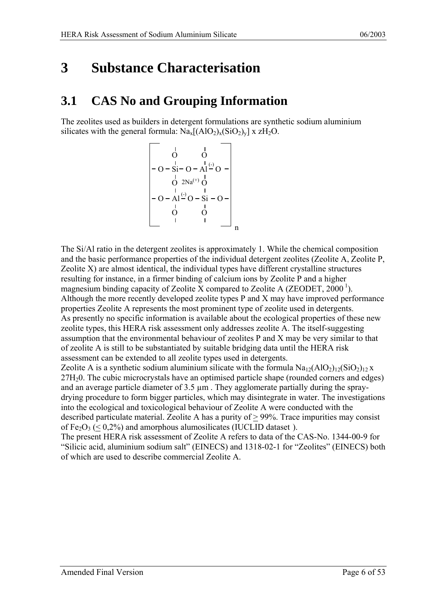## <span id="page-5-0"></span>**3 Substance Characterisation**

## **3.1 CAS No and Grouping Information**

The zeolites used as builders in detergent formulations are synthetic sodium aluminium silicates with the general formula:  $\text{Na}_{x}[(\text{AlO}_{2})_{x}(\text{SiO}_{2})_{y}] \times \text{ZH}_{2}\text{O}.$ 

<span id="page-5-1"></span>
$$
\begin{bmatrix}\n & 1 & 1 \\
& 0 & 0 \\
-0 - 8i - 0 - Al \xrightarrow{l} 0 - \\
& 0 & 2Na^{(+)} & 0 \\
& 0 & 1 & 1 \\
-0 - Al \xrightarrow{l} 0 - 8i - 0 - \\
& 0 & 0 & 0 \\
& 1 & 1 & 0 \\
& 0 & 0 & 1 \\
& & 1 & 0 \\
& & & 1\n\end{bmatrix}
$$

The Si/Al ratio in the detergent zeolites is approximately 1. While the chemical composition and the basic performance properties of the individual detergent zeolites (Zeolite A, Zeolite P, Zeolite X) are almost identical, the individual types have different crystalline structures resulting for instance, in a firmer binding of calcium ions by Zeolite P and a higher magnesium binding capacity of Zeolite X compared to Zeolite A (ZEODET,  $2000<sup>1</sup>$  $2000<sup>1</sup>$  $2000<sup>1</sup>$ ). Although the more recently developed zeolite types P and X may have improved performance properties Zeolite A represents the most prominent type of zeolite used in detergents. As presently no specific information is available about the ecological properties of these new zeolite types, this HERA risk assessment only addresses zeolite A. The itself-suggesting assumption that the environmental behaviour of zeolites P and X may be very similar to that of zeolite A is still to be substantiated by suitable bridging data until the HERA risk assessment can be extended to all zeolite types used in detergents.

Zeolite A is a synthetic sodium aluminium silicate with the formula  $Na<sub>12</sub>(AlO<sub>2</sub>)<sub>12</sub>(SiO<sub>2</sub>)<sub>12</sub> x$ 27H20. The cubic microcrystals have an optimised particle shape (rounded corners and edges) and an average particle diameter of  $3.5 \mu m$ . They agglomerate partially during the spraydrying procedure to form bigger particles, which may disintegrate in water. The investigations into the ecological and toxicological behaviour of Zeolite A were conducted with the described particulate material. Zeolite A has a purity of > 99%. Trace impurities may consist of  $Fe<sub>2</sub>O<sub>3</sub>$  (< 0,2%) and amorphous alumosilicates (IUCLID dataset).

The present HERA risk assessment of Zeolite A refers to data of the CAS-No. 1344-00-9 for "Silicic acid, aluminium sodium salt" (EINECS) and 1318-02-1 for "Zeolites" (EINECS) both of which are used to describe commercial Zeolite A.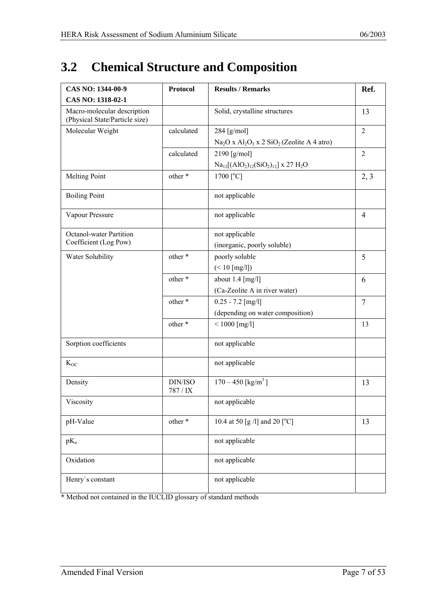## <span id="page-6-0"></span>**3.2 Chemical Structure and Composition**

<span id="page-6-6"></span><span id="page-6-5"></span><span id="page-6-3"></span><span id="page-6-2"></span><span id="page-6-1"></span>

| CAS NO: 1344-00-9                                             | <b>Protocol</b>     | <b>Results / Remarks</b>                          | Ref.           |
|---------------------------------------------------------------|---------------------|---------------------------------------------------|----------------|
| CAS NO: 1318-02-1                                             |                     |                                                   |                |
| Macro-molecular description<br>(Physical State/Particle size) |                     | Solid, crystalline structures                     | 13             |
| Molecular Weight                                              | calculated          | 284 [g/mol]                                       | $\overline{2}$ |
|                                                               |                     | $Na2O x Al2O3 x 2 SiO2 (Zeolite A 4 atro)$        |                |
|                                                               | calculated          | 2190 $[g/mol]$                                    | $\overline{2}$ |
|                                                               |                     | $Na_{12}[(AlO2)12(SiO2)12]$ x 27 H <sub>2</sub> O |                |
| <b>Melting Point</b>                                          | other *             | $1700$ [ $^{\circ}$ C]                            | 2, 3           |
| <b>Boiling Point</b>                                          |                     | not applicable                                    |                |
| Vapour Pressure                                               |                     | not applicable                                    | 4              |
| <b>Octanol-water Partition</b>                                |                     | not applicable                                    |                |
| Coefficient (Log Pow)                                         |                     | (inorganic, poorly soluble)                       |                |
| Water Solubility                                              | other *             | poorly soluble                                    | 5              |
|                                                               |                     | $(< 10$ [mg/l])                                   |                |
|                                                               | other *             | about $1.4$ [mg/l]                                | 6              |
|                                                               |                     | (Ca-Zeolite A in river water)                     |                |
|                                                               | other *             | $0.25 - 7.2$ [mg/l]                               | $\overline{7}$ |
|                                                               |                     | (depending on water composition)                  |                |
|                                                               | other*              | $< 1000$ [mg/l]                                   | 13             |
| Sorption coefficients                                         |                     | not applicable                                    |                |
| $K_{OC}$                                                      |                     | not applicable                                    |                |
| Density                                                       | DIN/ISO<br>787 / IX | $170 - 450$ [kg/m <sup>3</sup> ]                  | 13             |
| Viscosity                                                     |                     | not applicable                                    |                |
| pH-Value                                                      | other *             | 10.4 at 50 [g /l] and 20 [ $^{\circ}$ C]          | 13             |
| $pK_a$                                                        |                     | not applicable                                    |                |
| Oxidation                                                     |                     | not applicable                                    |                |
| Henry's constant                                              |                     | not applicable                                    |                |

<span id="page-6-4"></span>\* Method not contained in the IUCLID glossary of standard methods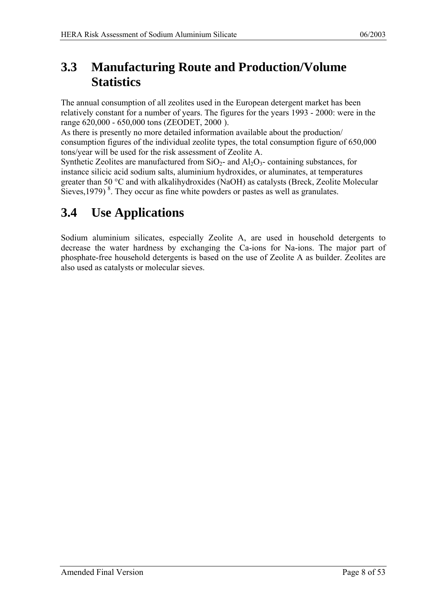## <span id="page-7-0"></span>**3.3 Manufacturing Route and Production/Volume Statistics**

The annual consumption of all zeolites used in the European detergent market has been relatively constant for a number of years. The figures for the years 1993 - 2000: were in the range 620,000 - 650,000 tons (ZEODET, 2000 [\).](#page-5-1)

As there is presently no more detailed information available about the production/ consumption figures of the individual zeolite types, the total consumption figure of 650,000 tons/year will be used for the risk assessment of Zeolite A.

Synthetic Zeolites are manufactured from  $SiO<sub>2</sub>$ - and  $Al<sub>2</sub>O<sub>3</sub>$ - containing substances, for instance silicic acid sodium salts, aluminium hydroxides, or aluminates, at temperatures greater than 50 °C and with alkalihydroxides (NaOH) as catalysts (Breck, Zeolite Molecular Sieves,  $1979$ )<sup>8</sup>. They occur as fine white powders or pastes as well as granulates.

## **3.4 Use Applications**

Sodium aluminium silicates, especially Zeolite A, are used in household detergents to decrease the water hardness by exchanging the Ca-ions for Na-ions. The major part of phosphate-free household detergents is based on the use of Zeolite A as builder. Zeolites are also used as catalysts or molecular sieves.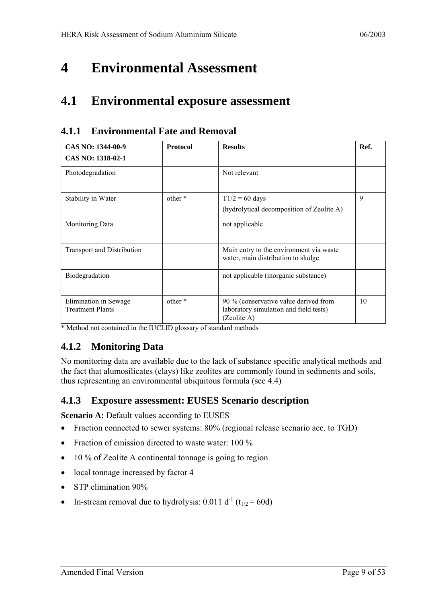## <span id="page-8-0"></span>**4 Environmental Assessment**

## **4.1 Environmental exposure assessment**

<span id="page-8-1"></span>

| CAS NO: 1344-00-9                                | <b>Protocol</b> | <b>Results</b>                                                                                 | Ref. |
|--------------------------------------------------|-----------------|------------------------------------------------------------------------------------------------|------|
| CAS NO: 1318-02-1                                |                 |                                                                                                |      |
| Photodegradation                                 |                 | Not relevant                                                                                   |      |
| Stability in Water                               | other *         | $T1/2 = 60$ days<br>(hydrolytical decomposition of Zeolite A)                                  | 9    |
| <b>Monitoring Data</b>                           |                 | not applicable                                                                                 |      |
| <b>Transport and Distribution</b>                |                 | Main entry to the environment via waste<br>water, main distribution to sludge                  |      |
| Biodegradation                                   |                 | not applicable (inorganic substance)                                                           |      |
| Elimination in Sewage<br><b>Treatment Plants</b> | other *         | 90 % (conservative value derived from<br>laboratory simulation and field tests)<br>(Zeolite A) | 10   |

#### **4.1.1 Environmental Fate and Removal**

<span id="page-8-2"></span>\* Method not contained in the IUCLID glossary of standard methods

### **4.1.2 Monitoring Data**

No monitoring data are available due to the lack of substance specific analytical methods and the fact that alumosilicates (clays) like zeolites are commonly found in sediments and soils, thus representing an environmental ubiquitous formula (see 4.4)

#### **4.1.3 Exposure assessment: EUSES Scenario description**

**Scenario A:** Default values according to EUSES

- Fraction connected to sewer systems: 80% (regional release scenario acc. to TGD)
- Fraction of emission directed to waste water: 100 %
- 10 % of Zeolite A continental tonnage is going to region
- local tonnage increased by factor 4
- STP elimination 90%
- In-stream removal due to hydrolysis: 0.011 d<sup>-1</sup> (t<sub>1/2</sub> = 60d)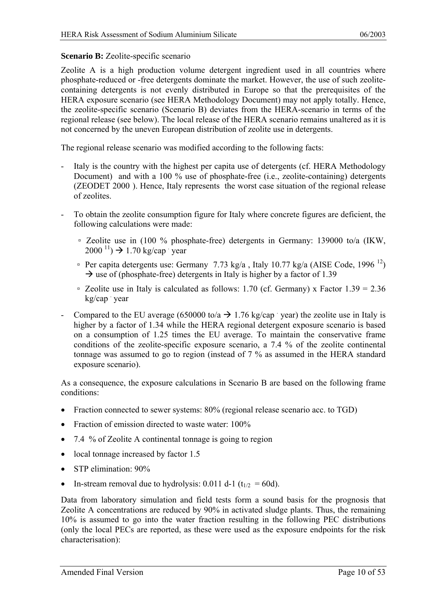#### **Scenario B:** Zeolite-specific scenario

Zeolite A is a high production volume detergent ingredient used in all countries where phosphate-reduced or -free detergents dominate the market. However, the use of such zeolitecontaining detergents is not evenly distributed in Europe so that the prerequisites of the HERA exposure scenario (see HERA Methodology Document) may not apply totally. Hence, the zeolite-specific scenario (Scenario B) deviates from the HERA-scenario in terms of the regional release (see below). The local release of the HERA scenario remains unaltered as it is not concerned by the uneven European distribution of zeolite use in detergents.

The regional release scenario was modified according to the following facts:

- Italy is the country with the highest per capita use of detergents (cf. HERA Methodology Document) and with a 100 % use of phosphate-free (i.e., zeolite-containing) detergents (ZEODET 2000 [\).](#page-5-1) Hence, Italy represents the worst case situation of the regional release of zeolites.
- To obtain the zeolite consumption figure for Italy where concrete figures are deficient, the following calculations were made:
	- Zeolite use in (100 % phosphate-free) detergents in Germany: 139000 to/a (IKW,  $2000^{11}$ )  $\rightarrow$  1.70 kg/cap year
	- Per capita detergents use: Germany 7.73 kg/a, Italy 10.77 kg/a (AISE Code, 1996<sup>12</sup>)  $\rightarrow$  use of (phosphate-free) detergents in Italy is higher by a factor of 1.39
	- □ Zeolite use in Italy is calculated as follows:  $1.70$  (cf. Germany) x Factor  $1.39 = 2.36$ kg/cap year
- Compared to the EU average (650000 to/a  $\rightarrow$  1.76 kg/cap year) the zeolite use in Italy is higher by a factor of 1.34 while the HERA regional detergent exposure scenario is based on a consumption of 1.25 times the EU average. To maintain the conservative frame conditions of the zeolite-specific exposure scenario, a 7.4 % of the zeolite continental tonnage was assumed to go to region (instead of 7 % as assumed in the HERA standard exposure scenario).

As a consequence, the exposure calculations in Scenario B are based on the following frame conditions:

- Fraction connected to sewer systems: 80% (regional release scenario acc. to TGD)
- Fraction of emission directed to waste water: 100%
- 7.4 % of Zeolite A continental tonnage is going to region
- local tonnage increased by factor 1.5
- STP elimination: 90%
- In-stream removal due to hydrolysis: 0.011 d-1 ( $t_{1/2} = 60d$ ).

Data from laboratory simulation and field tests form a sound basis for the prognosis that Zeolite A concentrations are reduced by 90% in activated sludge plants. Thus, the remaining 10% is assumed to go into the water fraction resulting in the following PEC distributions (only the local PECs are reported, as these were used as the exposure endpoints for the risk characterisation):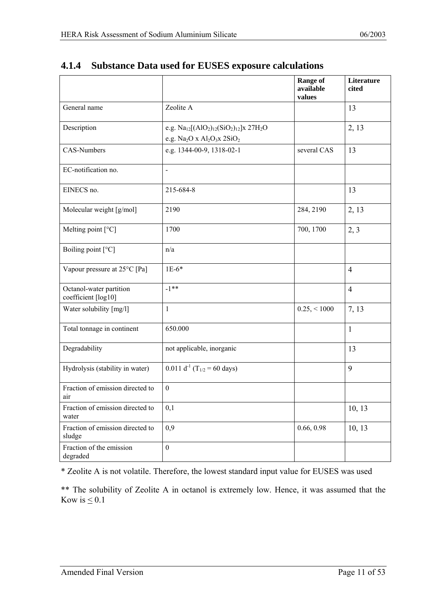<span id="page-10-1"></span>

|                                                |                                                                       | <b>Range of</b><br>available<br>values | Literature<br>cited |
|------------------------------------------------|-----------------------------------------------------------------------|----------------------------------------|---------------------|
| General name                                   | Zeolite A                                                             |                                        | 13                  |
| Description                                    | e.g. $Na_{12}[(AlO2)12(SiO2)12]x 27H2O$<br>e.g. $Na2O x Al2O3x 2SiO2$ |                                        | 2, 13               |
| CAS-Numbers                                    | e.g. 1344-00-9, 1318-02-1                                             | several CAS                            | 13                  |
| EC-notification no.                            | $\blacksquare$                                                        |                                        |                     |
| EINECS no.                                     | 215-684-8                                                             |                                        | 13                  |
| Molecular weight [g/mol]                       | 2190                                                                  | 284, 2190                              | 2, 13               |
| Melting point [°C]                             | 1700                                                                  | 700, 1700                              | 2, 3                |
| Boiling point [°C]                             | n/a                                                                   |                                        |                     |
| Vapour pressure at 25°C [Pa]                   | $1E-6*$                                                               |                                        | $\overline{4}$      |
| Octanol-water partition<br>coefficient [log10] | $-1***$                                                               |                                        | $\overline{4}$      |
| Water solubility [mg/l]                        | $\mathbf{1}$                                                          | $0.25, \leq 1000$                      | 7, 13               |
| Total tonnage in continent                     | 650.000                                                               |                                        | $\mathbf{1}$        |
| Degradability                                  | not applicable, inorganic                                             |                                        | 13                  |
| Hydrolysis (stability in water)                | 0.011 d <sup>-1</sup> (T <sub>1/2</sub> = 60 days)                    |                                        | 9                   |
| Fraction of emission directed to<br>air        | $\boldsymbol{0}$                                                      |                                        |                     |
| Fraction of emission directed to<br>water      | 0,1                                                                   |                                        | 10, 13              |
| Fraction of emission directed to<br>sludge     | 0,9                                                                   | 0.66, 0.98                             | 10, 13              |
| Fraction of the emission<br>degraded           | $\boldsymbol{0}$                                                      |                                        |                     |

### <span id="page-10-0"></span>**4.1.4 Substance Data used for EUSES exposure calculations**

\* Zeolite A is not volatile. Therefore, the lowest standard input value for EUSES was used

\*\* The solubility of Zeolite A in octanol is extremely low. Hence, it was assumed that the Kow is  $\leq 0.1$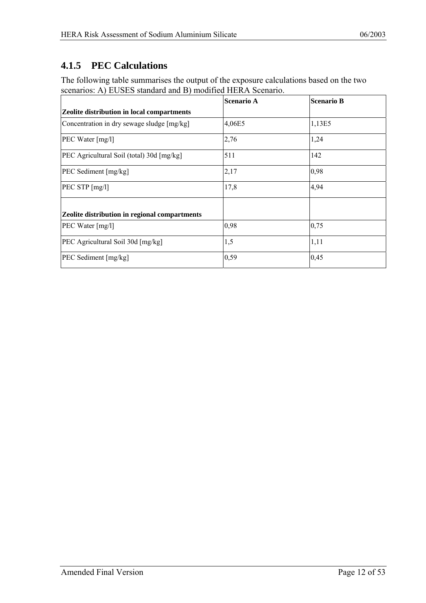### <span id="page-11-0"></span>**4.1.5 PEC Calculations**

The following table summarises the output of the exposure calculations based on the two scenarios: A) EUSES standard and B) modified HERA Scenario.

|                                               | <b>Scenario A</b> | <b>Scenario B</b> |
|-----------------------------------------------|-------------------|-------------------|
| Zeolite distribution in local compartments    |                   |                   |
| Concentration in dry sewage sludge [mg/kg]    | 4,06E5            | 1,13E5            |
| PEC Water [mg/l]                              | 2,76              | 1,24              |
| PEC Agricultural Soil (total) 30d [mg/kg]     | 511               | 142               |
| PEC Sediment [mg/kg]                          | 2,17              | 0,98              |
| PEC STP [mg/l]                                | 17,8              | 4,94              |
| Zeolite distribution in regional compartments |                   |                   |
| PEC Water [mg/l]                              | 0,98              | 0,75              |
| PEC Agricultural Soil 30d [mg/kg]             | 1,5               | 1,11              |
| PEC Sediment [mg/kg]                          | 0,59              | 0,45              |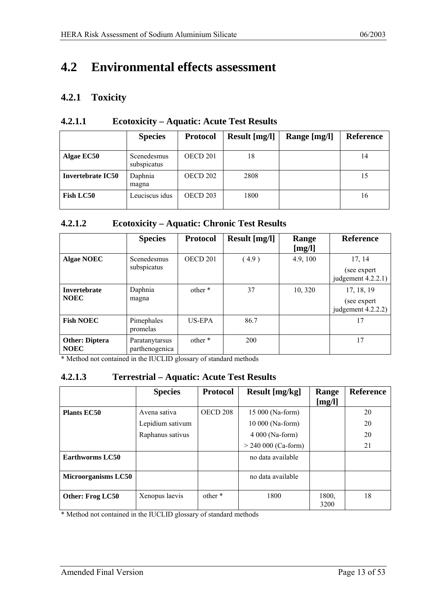## <span id="page-12-0"></span>**4.2 Environmental effects assessment**

#### **4.2.1 Toxicity**

<span id="page-12-1"></span>

|                          | <b>Species</b>             | <b>Protocol</b>     | Result [mg/l] | Range [mg/l] | <b>Reference</b> |
|--------------------------|----------------------------|---------------------|---------------|--------------|------------------|
| Algae EC50               | Scenedesmus<br>subspicatus | OECD 201            | 18            |              | 14               |
| <b>Invertebrate IC50</b> | Daphnia<br>magna           | OECD 202            | 2808          |              | 15               |
| <b>Fish LC50</b>         | Leuciscus idus             | OECD <sub>203</sub> | 1800          |              | 16               |

#### **4.2.1.1 Ecotoxicity – Aquatic: Acute Test Results**

#### **4.2.1.2 Ecotoxicity – Aquatic: Chronic Test Results**

<span id="page-12-6"></span><span id="page-12-4"></span><span id="page-12-2"></span>

|                                      | <b>Species</b>                   | <b>Protocol</b>     | Result [mg/l] | Range<br>[mg/l] | <b>Reference</b>                                |
|--------------------------------------|----------------------------------|---------------------|---------------|-----------------|-------------------------------------------------|
| <b>Algae NOEC</b>                    | Scenedesmus<br>subspicatus       | OECD <sub>201</sub> | (4.9)         | 4.9, 100        | 17, 14<br>(see expert<br>judgement $4.2.2.1$ )  |
| <b>Invertebrate</b><br><b>NOEC</b>   | Daphnia<br>magna                 | other *             | 37            | 10,320          | 17, 18, 19<br>(see expert<br>judgement 4.2.2.2) |
| <b>Fish NOEC</b>                     | Pimephales<br>promelas           | US-EPA              | 86.7          |                 | 17                                              |
| <b>Other: Diptera</b><br><b>NOEC</b> | Paratanytarsus<br>parthenogenica | other *             | <b>200</b>    |                 | 17                                              |

\* Method not contained in the IUCLID glossary of standard methods

#### <span id="page-12-3"></span>**4.2.1.3 Terrestrial – Aquatic: Acute Test Results**

<span id="page-12-5"></span>

|                            | <b>Species</b>   | <b>Protocol</b>     | Result [mg/kg]        | Range<br>[mg/l] | <b>Reference</b> |
|----------------------------|------------------|---------------------|-----------------------|-----------------|------------------|
|                            |                  |                     |                       |                 |                  |
| <b>Plants EC50</b>         | Avena sativa     | OECD <sub>208</sub> | 15 000 (Na-form)      |                 | 20               |
|                            | Lepidium sativum |                     | 10 000 (Na-form)      |                 | 20               |
|                            | Raphanus sativus |                     | 4 000 (Na-form)       |                 | 20               |
|                            |                  |                     | $> 240 000$ (Ca-form) |                 | 21               |
| Earthworms LC50            |                  |                     | no data available     |                 |                  |
| <b>Microorganisms LC50</b> |                  |                     | no data available     |                 |                  |
| Other: Frog LC50           | Xenopus laevis   | other *             | 1800                  | 1800,<br>3200   | 18               |

\* Method not contained in the IUCLID glossary of standard methods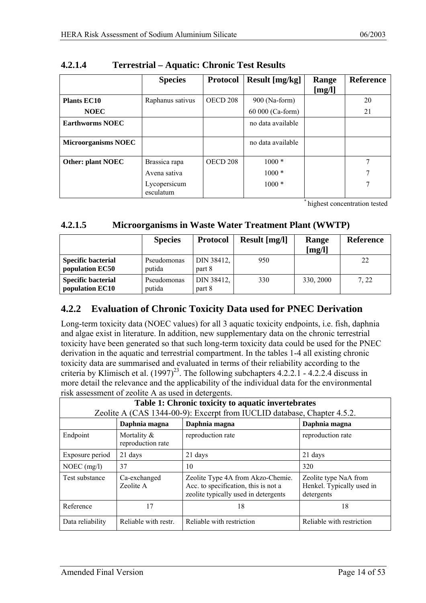|                            | <b>Species</b>            | <b>Protocol</b> | Result [mg/kg]    | Range<br>[mg/l] | <b>Reference</b> |
|----------------------------|---------------------------|-----------------|-------------------|-----------------|------------------|
| <b>Plants EC10</b>         | Raphanus sativus          | OECD 208        | 900 (Na-form)     |                 | 20               |
| <b>NOEC</b>                |                           |                 | 60 000 (Ca-form)  |                 | 21               |
| <b>Earthworms NOEC</b>     |                           |                 | no data available |                 |                  |
| <b>Microorganisms NOEC</b> |                           |                 | no data available |                 |                  |
| Other: plant NOEC          | Brassica rapa             | OECD 208        | $1000*$           |                 | 7                |
|                            | Avena sativa              |                 | $1000*$           |                 | 7                |
|                            | Lycopersicum<br>esculatum |                 | $1000*$           |                 | 7                |

<span id="page-13-0"></span>**4.2.1.4 Terrestrial – Aquatic: Chronic Test Results** 

<span id="page-13-1"></span>\* highest concentration tested

#### **4.2.1.5 Microorganisms in Waste Water Treatment Plant (WWTP)**

|                                              | <b>Species</b>        | <b>Protocol</b>      | Result [mg/l] | Range<br>[mg/l] | <b>Reference</b> |
|----------------------------------------------|-----------------------|----------------------|---------------|-----------------|------------------|
| <b>Specific bacterial</b><br>population EC50 | Pseudomonas<br>putida | DIN 38412,<br>part 8 | 950           |                 | 22               |
| <b>Specific bacterial</b><br>population EC10 | Pseudomonas<br>putida | DIN 38412,<br>part 8 | 330           | 330, 2000       | 7, 22            |

### **4.2.2 Evaluation of Chronic Toxicity Data used for PNEC Derivation**

Long-term toxicity data (NOEC values) for all 3 aquatic toxicity endpoints, i.e. fish, daphnia and algae exist in literature. In addition, new supplementary data on the chronic terrestrial toxicity have been generated so that such long-term toxicity data could be used for the PNEC derivation in the aquatic and terrestrial compartment. In the tables 1-4 all existing chronic toxicity data are summarised and evaluated in terms of their reliability according to the criteria by Klimisch et al.  $(1997)^{23}$ . The following subchapters 4.2.2.1 - 4.2.2.4 discuss in more detail the relevance and the applicability of the individual data for the environmental risk assessment of zeolite A as used in detergents.

|                  | Table 1: Chronic toxicity to aquatic invertebrates |                                                                                                                   |                                                                  |  |  |  |
|------------------|----------------------------------------------------|-------------------------------------------------------------------------------------------------------------------|------------------------------------------------------------------|--|--|--|
|                  |                                                    | Zeolite A (CAS 1344-00-9): Excerpt from IUCLID database, Chapter 4.5.2.                                           |                                                                  |  |  |  |
|                  | Daphnia magna                                      | Daphnia magna                                                                                                     | Daphnia magna                                                    |  |  |  |
| Endpoint         | Mortality $\&$<br>reproduction rate                | reproduction rate                                                                                                 | reproduction rate                                                |  |  |  |
| Exposure period  | 21 days                                            | 21 days                                                                                                           | 21 days                                                          |  |  |  |
| NOEC $(mg/l)$    | 37                                                 | 10                                                                                                                | 320                                                              |  |  |  |
| Test substance   | Ca-exchanged<br>Zeolite A                          | Zeolite Type 4A from Akzo-Chemie.<br>Acc. to specification, this is not a<br>zeolite typically used in detergents | Zeolite type NaA from<br>Henkel. Typically used in<br>detergents |  |  |  |
| Reference        | 17                                                 | 18                                                                                                                | 18                                                               |  |  |  |
| Data reliability | Reliable with restr.                               | Reliable with restriction                                                                                         | Reliable with restriction                                        |  |  |  |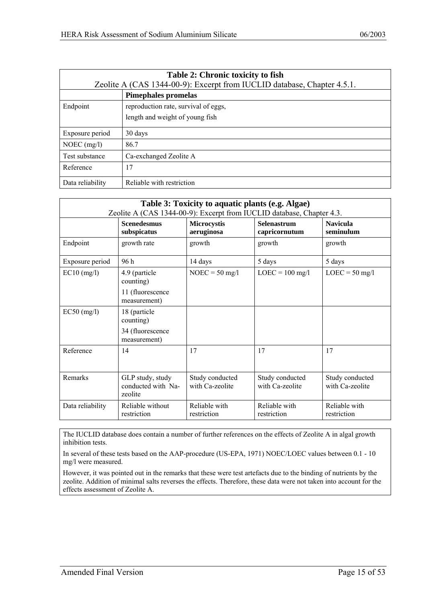| Table 2: Chronic toxicity to fish |                                                                         |  |
|-----------------------------------|-------------------------------------------------------------------------|--|
|                                   | Zeolite A (CAS 1344-00-9): Excerpt from IUCLID database, Chapter 4.5.1. |  |
|                                   | <b>Pimephales promelas</b>                                              |  |
| Endpoint                          | reproduction rate, survival of eggs,                                    |  |
|                                   | length and weight of young fish                                         |  |
| Exposure period                   | 30 days                                                                 |  |
| NOEC $(mg/l)$                     | 86.7                                                                    |  |
| Test substance                    | Ca-exchanged Zeolite A                                                  |  |
| Reference                         | 17                                                                      |  |
| Data reliability                  | Reliable with restriction                                               |  |

|                  | Table 3: Toxicity to aquatic plants (e.g. Algae)<br>Zeolite A (CAS 1344-00-9): Excerpt from IUCLID database, Chapter 4.3. |                                    |                                     |                                    |  |
|------------------|---------------------------------------------------------------------------------------------------------------------------|------------------------------------|-------------------------------------|------------------------------------|--|
|                  | <b>Scenedesmus</b><br>subspicatus                                                                                         | <b>Microcystis</b><br>aeruginosa   | <b>Selenastrum</b><br>capricornutum | <b>Navicula</b><br>seminulum       |  |
| Endpoint         | growth rate                                                                                                               | growth                             | growth                              | growth                             |  |
| Exposure period  | 96 h                                                                                                                      | 14 days                            | 5 days                              | 5 days                             |  |
| $EC10$ (mg/l)    | 4.9 (particle<br>counting)                                                                                                | $NOEC = 50$ mg/l                   | $LOEC = 100$ mg/l                   | $LOEC = 50$ mg/l                   |  |
|                  | 11 (fluorescence<br>measurement)                                                                                          |                                    |                                     |                                    |  |
| $EC50$ (mg/l)    | 18 (particle<br>counting)                                                                                                 |                                    |                                     |                                    |  |
|                  | 34 (fluorescence<br>measurement)                                                                                          |                                    |                                     |                                    |  |
| Reference        | 14                                                                                                                        | 17                                 | 17                                  | 17                                 |  |
| Remarks          | GLP study, study<br>conducted with Na-<br>zeolite                                                                         | Study conducted<br>with Ca-zeolite | Study conducted<br>with Ca-zeolite  | Study conducted<br>with Ca-zeolite |  |
| Data reliability | Reliable without<br>restriction                                                                                           | Reliable with<br>restriction       | Reliable with<br>restriction        | Reliable with<br>restriction       |  |

The IUCLID database does contain a number of further references on the effects of Zeolite A in algal growth inhibition tests.

In several of these tests based on the AAP-procedure (US-EPA, 1971) NOEC/LOEC values between 0.1 - 10 mg/l were measured.

However, it was pointed out in the remarks that these were test artefacts due to the binding of nutrients by the zeolite. Addition of minimal salts reverses the effects. Therefore, these data were not taken into account for the effects assessment of Zeolite A.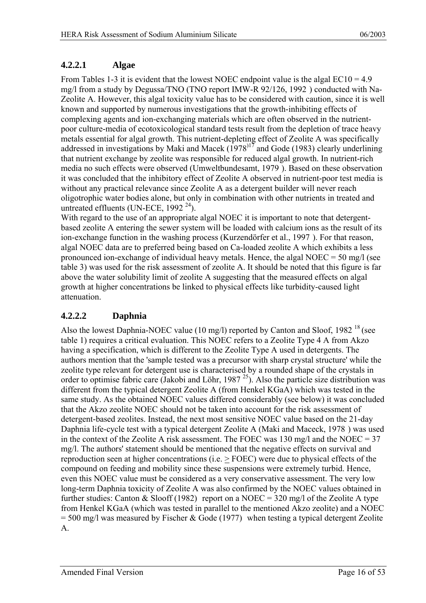#### <span id="page-15-0"></span>**4.2.2.1 Algae**

From Tables 1-3 it is evident that the lowest NOEC endpoint value is the algal  $EC10 = 4.9$ mg/l from a study by Degussa/TNO (TNO report IMW-R 92/126, 1992 [\) c](#page-13-1)onducted with Na-Zeolite A. However, this algal toxicity value has to be considered with caution, since it is well known and supported by numerous investigations that the growth-inhibiting effects of complexing agents and ion-exchanging materials which are often observed in the nutrientpoor culture-media of ecotoxicological standard tests result from the depletion of trace heavy metals essential for algal growth. This nutrient-depleting effect of Zeolite A was specifically addressed in investigations by Maki and Macek  $(1978)^{17}$  and Gode (1983[\) c](#page-6-5)learly underlining that nutrient exchange by zeolite was responsible for reduced algal growth. In nutrient-rich media no such effects were observed (Umweltbundesamt, 1979 [\).](#page-6-6) Based on these observation it was concluded that the inhibitory effect of Zeolite A observed in nutrient-poor test media is without any practical relevance since Zeolite A as a detergent builder will never reach oligotrophic water bodies alone, but only in combination with other nutrients in treated and untreated effluents (UN-ECE, 1992 $^{24}$ ).

With regard to the use of an appropriate algal NOEC it is important to note that detergentbased zeolite A entering the sewer system will be loaded with calcium ions as the result of its ion-exchange function in the washing process (Kurzendörfer et al., 1997 [\).](#page-8-2) For that reason, algal NOEC data are to preferred being based on Ca-loaded zeolite A which exhibits a less pronounced ion-exchange of individual heavy metals. Hence, the algal NOEC =  $50 \text{ mg/l}$  (see table 3) was used for the risk assessment of zeolite A. It should be noted that this figure is far above the water solubility limit of zeolite A suggesting that the measured effects on algal growth at higher concentrations be linked to physical effects like turbidity-caused light attenuation.

#### **4.2.2.2 Daphnia**

Also the lowest Daphnia-NOEC value (10 mg/l) reported by Canton and Sloof, 1982<sup>18</sup> (see table 1) requires a critical evaluation. This NOEC refers to a Zeolite Type 4 A from Akzo having a specification, which is different to the Zeolite Type A used in detergents. The authors mention that the 'sample tested was a precursor with sharp crystal structure' while the zeolite type relevant for detergent use is characterised by a rounded shape of the crystals in order to optimise fabric care (Jakobi and Löhr, 1987<sup>25</sup>). Also the particle size distribution was different from the typical detergent Zeolite A (from Henkel KGaA) which was tested in the same study. As the obtained NOEC values differed considerably (see below) it was concluded that the Akzo zeolite NOEC should not be taken into account for the risk assessment of detergent-based zeolites. Instead, the next most sensitive NOEC value based on the 21-day Daphnia life-cycle test with a typical detergent Zeolite A (Maki and Maceck, 1978 [\) w](#page-12-2)as used in the context of the Zeolite A risk assessment. The FOEC was 130 mg/l and the NOEC =  $37$ mg/l. The authors' statement should be mentioned that the negative effects on survival and reproduction seen at higher concentrations (i.e. > FOEC) were due to physical effects of the compound on feeding and mobility since these suspensions were extremely turbid. Hence, even this NOEC value must be considered as a very conservative assessment. The very low long-term Daphnia toxicity of Zeolite A was also confirmed by the NOEC values obtained in further studies: Canton & Slooff (1982) [re](#page-12-4)port on a NOEC = 320 mg/l of the Zeolite A type from Henkel KGaA (which was tested in parallel to the mentioned Akzo zeolite) and a NOEC  $= 500$  mg/l [w](#page-12-6)as measured by Fischer & Gode (1977) when testing a typical detergent Zeolite A.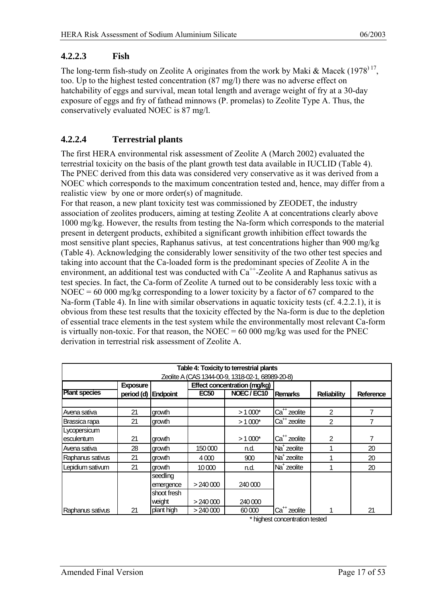#### <span id="page-16-0"></span>**4.2.2.3 Fish**

The long-term fish-study on Zeolite A originates from the work by Maki & Macek  $(1978)^{17}$  $(1978)^{17}$  $(1978)^{17}$ , too. Up to the highest tested concentration (87 mg/l) there was no adverse effect on hatchability of eggs and survival, mean total length and average weight of fry at a 30-day exposure of eggs and fry of fathead minnows (P. promelas) to Zeolite Type A. Thus, the conservatively evaluated NOEC is 87 mg/l.

#### **4.2.2.4 Terrestrial plants**

The first HERA environmental risk assessment of Zeolite A (March 2002) evaluated the terrestrial toxicity on the basis of the plant growth test data available in IUCLID (Table 4). The PNEC derived from this data was considered very conservative as it was derived from a NOEC which corresponds to the maximum concentration tested and, hence, may differ from a realistic view by one or more order(s) of magnitude.

For that reason, a new plant toxicity test was commissioned by ZEODET, the industry association of zeolites producers, aiming at testing Zeolite A at concentrations clearly above 1000 mg/kg. However, the results from testing the Na-form which corresponds to the material present in detergent products, exhibited a significant growth inhibition effect towards the most sensitive plant species, Raphanus sativus, at test concentrations higher than 900 mg/kg (Table 4). Acknowledging the considerably lower sensitivity of the two other test species and taking into account that the Ca-loaded form is the predominant species of Zeolite A in the environment, an additional test was conducted with  $Ca^{++}$ -Zeolite A and Raphanus sativus as test species. In fact, the Ca-form of Zeolite A turned out to be considerably less toxic with a NOEC = 60 000 mg/kg corresponding to a lower toxicity by a factor of 67 compared to the Na-form (Table 4). In line with similar observations in aquatic toxicity tests (cf. 4.2.2.1), it is obvious from these test results that the toxicity effected by the Na-form is due to the depletion of essential trace elements in the test system while the environmentally most relevant Ca-form is virtually non-toxic. For that reason, the NOEC =  $60\,000$  mg/kg was used for the PNEC derivation in terrestrial risk assessment of Zeolite A.

|                      |                     |             |             | Table 4: Toxicity to terrestrial plants          |                          |                    |           |
|----------------------|---------------------|-------------|-------------|--------------------------------------------------|--------------------------|--------------------|-----------|
|                      |                     |             |             | Zeolite A (CAS 1344-00-9, 1318-02-1, 68989-20-8) |                          |                    |           |
|                      | <b>Exposure</b>     |             |             | Effect concentration (mg/kg)                     |                          |                    |           |
| <b>Plant species</b> | period (d) Endpoint |             | <b>EC50</b> | NOEC / EC10                                      | <b>Remarks</b>           | <b>Reliability</b> | Reference |
|                      |                     |             |             |                                                  |                          |                    |           |
| Avena sativa         | 21                  | growth      |             | $>1000*$                                         | Ca <sup>++</sup> zeolite | $\overline{2}$     | 7         |
| Brassica rapa        | 21                  | growth      |             | $>1000*$                                         | Ca <sup>++</sup> zeolite | $\overline{2}$     |           |
| Lycopersicum         |                     |             |             |                                                  |                          |                    |           |
| esculentum           | 21                  | growth      |             | $> 1000*$                                        | Ca <sup>++</sup> zeolite | $\overline{2}$     | 7         |
| Avena sativa         | 28                  | growth      | 150 000     | n.d.                                             | Na <sup>+</sup> zeolite  |                    | 20        |
| Raphanus sativus     | 21                  | growth      | 4000        | 900                                              | Na <sup>+</sup> zeolite  |                    | 20        |
| Lepidium sativum     | 21                  | growth      | 10 000      | n.d.                                             | Na <sup>+</sup> zeolite  |                    | 20        |
|                      |                     | seedling    |             |                                                  |                          |                    |           |
|                      |                     | emergence   | >240000     | 240 000                                          |                          |                    |           |
|                      |                     | shoot fresh |             |                                                  |                          |                    |           |
|                      |                     | weight      | >240000     | 240 000                                          |                          |                    |           |
| Raphanus sativus     | 21                  | plant high  | $>$ 240 000 | 60000                                            | Ca <sup>++</sup> zeolite |                    | 21        |

\* highest concentration tested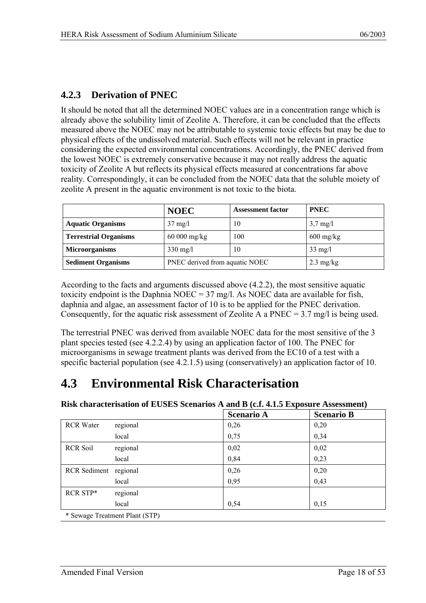### <span id="page-17-0"></span>**4.2.3 Derivation of PNEC**

It should be noted that all the determined NOEC values are in a concentration range which is already above the solubility limit of Zeolite A. Therefore, it can be concluded that the effects measured above the NOEC may not be attributable to systemic toxic effects but may be due to physical effects of the undissolved material. Such effects will not be relevant in practice considering the expected environmental concentrations. Accordingly, the PNEC derived from the lowest NOEC is extremely conservative because it may not really address the aquatic toxicity of Zeolite A but reflects its physical effects measured at concentrations far above reality. Correspondingly, it can be concluded from the NOEC data that the soluble moiety of zeolite A present in the aquatic environment is not toxic to the biota.

|                              | <b>NOEC</b>                    | <b>Assessment factor</b> | <b>PNEC</b>         |
|------------------------------|--------------------------------|--------------------------|---------------------|
| <b>Aquatic Organisms</b>     | $37 \text{ mg/l}$              | 10                       | $3,7 \text{ mg/l}$  |
| <b>Terrestrial Organisms</b> | $60000$ mg/kg                  | 100                      | $600 \text{ mg/kg}$ |
| <b>Microorganisms</b>        | $330 \text{ mg/l}$             | 10                       | $33 \text{ mg/l}$   |
| <b>Sediment Organisms</b>    | PNEC derived from aquatic NOEC |                          | $2.3 \text{ mg/kg}$ |

According to the facts and arguments discussed above (4.2.2), the most sensitive aquatic toxicity endpoint is the Daphnia NOEC =  $37 \text{ mg/l}$ . As NOEC data are available for fish, daphnia and algae, an assessment factor of 10 is to be applied for the PNEC derivation. Consequently, for the aquatic risk assessment of Zeolite A a PNEC =  $3.7 \text{ mg/l}$  is being used.

The terrestrial PNEC was derived from available NOEC data for the most sensitive of the 3 plant species tested (see 4.2.2.4) by using an application factor of 100. The PNEC for microorganisms in sewage treatment plants was derived from the EC10 of a test with a specific bacterial population (see 4.2.1.5) using (conservatively) an application factor of 10.

## **4.3 Environmental Risk Characterisation**

|  |  |  |  |  |  |  | Risk characterisation of EUSES Scenarios A and B (c.f. 4.1.5 Exposure Assessment) |
|--|--|--|--|--|--|--|-----------------------------------------------------------------------------------|
|--|--|--|--|--|--|--|-----------------------------------------------------------------------------------|

|                       |                                | <b>Scenario A</b> | <b>Scenario B</b> |
|-----------------------|--------------------------------|-------------------|-------------------|
| <b>RCR</b> Water      | regional                       | 0,26              | 0,20              |
|                       | local                          | 0,75              | 0,34              |
| <b>RCR Soil</b>       | regional                       | 0,02              | 0,02              |
|                       | local                          | 0,84              | 0,23              |
| RCR Sediment regional |                                | 0,26              | 0,20              |
|                       | local                          | 0,95              | 0,43              |
| RCR STP*              | regional                       |                   |                   |
|                       | local                          | 0,54              | 0,15              |
|                       | * Sewage Treatment Plant (STP) |                   |                   |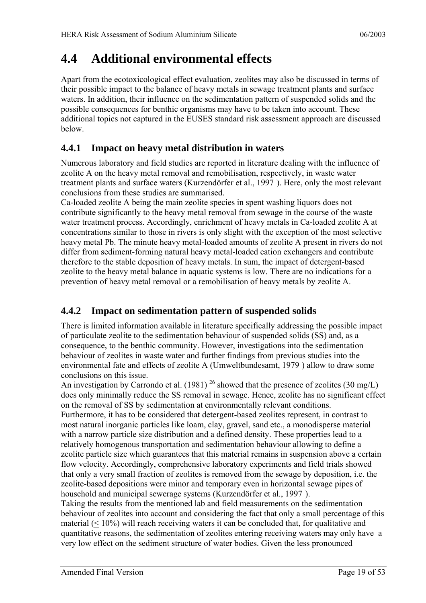## <span id="page-18-0"></span>**4.4 Additional environmental effects**

Apart from the ecotoxicological effect evaluation, zeolites may also be discussed in terms of their possible impact to the balance of heavy metals in sewage treatment plants and surface waters. In addition, their influence on the sedimentation pattern of suspended solids and the possible consequences for benthic organisms may have to be taken into account. These additional topics not captured in the EUSES standard risk assessment approach are discussed below.

### **4.4.1 Impact on heavy metal distribution in waters**

Numerous laboratory and field studies are reported in literature dealing with the influence of zeolite A on the heavy metal removal and remobilisation, respectively, in waste water treatment plants and surface waters (Kurzendörfer et al., 1997 [\).](#page-8-2) Here, only the most relevant conclusions from these studies are summarised.

Ca-loaded zeolite A being the main zeolite species in spent washing liquors does not contribute significantly to the heavy metal removal from sewage in the course of the waste water treatment process. Accordingly, enrichment of heavy metals in Ca-loaded zeolite A at concentrations similar to those in rivers is only slight with the exception of the most selective heavy metal Pb. The minute heavy metal-loaded amounts of zeolite A present in rivers do not differ from sediment-forming natural heavy metal-loaded cation exchangers and contribute therefore to the stable deposition of heavy metals. In sum, the impact of detergent-based zeolite to the heavy metal balance in aquatic systems is low. There are no indications for a prevention of heavy metal removal or a remobilisation of heavy metals by zeolite A.

### **4.4.2 Impact on sedimentation pattern of suspended solids**

There is limited information available in literature specifically addressing the possible impact of particulate zeolite to the sedimentation behaviour of suspended solids (SS) and, as a consequence, to the benthic community. However, investigations into the sedimentation behaviour of zeolites in waste water and further findings from previous studies into the environmental fate and effects of zeolite A (Umweltbundesamt, 1979 [\)](#page-6-6) allow to draw some conclusions on this issue.

An investigation by Carrondo et al. (1981)<sup>26</sup> showed that the presence of zeolites (30 mg/L) does only minimally reduce the SS removal in sewage. Hence, zeolite has no significant effect on the removal of SS by sedimentation at environmentally relevant conditions.

Furthermore, it has to be considered that detergent-based zeolites represent, in contrast to most natural inorganic particles like loam, clay, gravel, sand etc., a monodisperse material with a narrow particle size distribution and a defined density. These properties lead to a relatively homogenous transportation and sedimentation behaviour allowing to define a zeolite particle size which guarantees that this material remains in suspension above a certain flow velocity. Accordingly, comprehensive laboratory experiments and field trials showed that only a very small fraction of zeolites is removed from the sewage by deposition, i.e. the zeolite-based depositions were minor and temporary even in horizontal sewage pipes of household and municipal sewerage systems (Kurzendörfer et al., 1997 [\).](#page-8-2) 

Taking the results from the mentioned lab and field measurements on the sedimentation behaviour of zeolites into account and considering the fact that only a small percentage of this material (< 10%) will reach receiving waters it can be concluded that, for qualitative and quantitative reasons, the sedimentation of zeolites entering receiving waters may only have a very low effect on the sediment structure of water bodies. Given the less pronounced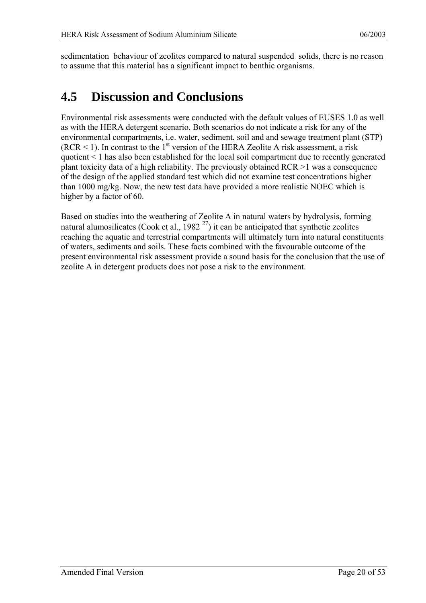<span id="page-19-0"></span>sedimentation behaviour of zeolites compared to natural suspended solids, there is no reason to assume that this material has a significant impact to benthic organisms.

## **4.5 Discussion and Conclusions**

Environmental risk assessments were conducted with the default values of EUSES 1.0 as well as with the HERA detergent scenario. Both scenarios do not indicate a risk for any of the environmental compartments, i.e. water, sediment, soil and and sewage treatment plant (STP)  $(RCR < 1)$ . In contrast to the 1<sup>st</sup> version of the HERA Zeolite A risk assessment, a risk quotient < 1 has also been established for the local soil compartment due to recently generated plant toxicity data of a high reliability. The previously obtained RCR >1 was a consequence of the design of the applied standard test which did not examine test concentrations higher than 1000 mg/kg. Now, the new test data have provided a more realistic NOEC which is higher by a factor of 60.

Based on studies into the weathering of Zeolite A in natural waters by hydrolysis, forming natural alumosilicates (Cook et al.,  $1982^{27}$ ) it can be anticipated that synthetic zeolites reaching the aquatic and terrestrial compartments will ultimately turn into natural constituents of waters, sediments and soils. These facts combined with the favourable outcome of the present environmental risk assessment provide a sound basis for the conclusion that the use of zeolite A in detergent products does not pose a risk to the environment.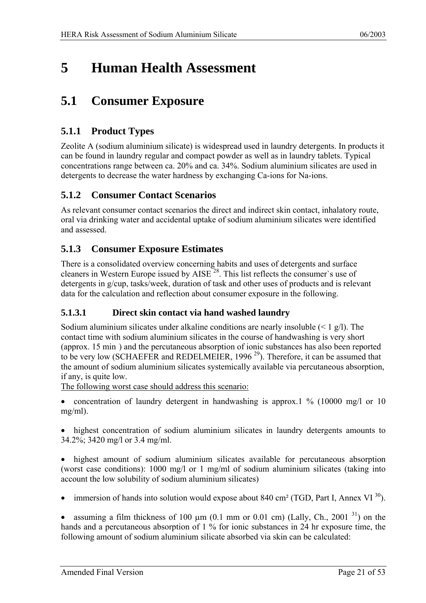## <span id="page-20-0"></span>**5 Human Health Assessment**

## **5.1 Consumer Exposure**

### **5.1.1 Product Types**

Zeolite A (sodium aluminium silicate) is widespread used in laundry detergents. In products it can be found in laundry regular and compact powder as well as in laundry tablets. Typical concentrations range between ca. 20% and ca. 34%. Sodium aluminium silicates are used in detergents to decrease the water hardness by exchanging Ca-ions for Na-ions.

### **5.1.2 Consumer Contact Scenarios**

As relevant consumer contact scenarios the direct and indirect skin contact, inhalatory route, oral via drinking water and accidental uptake of sodium aluminium silicates were identified and assessed.

### **5.1.3 Consumer Exposure Estimates**

<span id="page-20-1"></span>There is a consolidated overview concerning habits and uses of detergents and surface cleaners in Western Europe issued by AISE<sup>28</sup>. This list reflects the consumer`s use of detergents in g/cup, tasks/week, duration of task and other uses of products and is relevant data for the calculation and reflection about consumer exposure in the following.

#### **5.1.3.1 Direct skin contact via hand washed laundry**

<span id="page-20-2"></span>Sodium aluminium silicates under alkaline conditions are nearly insoluble  $(< 1 \frac{g}{l})$ . The contact time with sodium aluminium silicates in the course of handwashing is very short (approx. 15 min [\) a](#page-20-1)nd the percutaneous absorption of ionic substances has also been reported to be very low (SCHAEFER and REDELMEIER, 1996<sup>29</sup>). Ther[efo](#page-52-25)re, it can be assumed that the amount of sodium aluminium silicates systemically available via percutaneous absorption, if any, is quite low.

The following worst case should address this scenario:

• concentration of laundry detergent in handwashing is approx.1 % (10000 mg/l or 10) mg/ml).

• highest concentration of sodium aluminium silicates in laundry detergents amounts to 34.2%; 3420 mg/l or 3.4 mg/ml.

highest amount of sodium aluminium silicates available for percutaneous absorption (worst case conditions): 1000 mg/l or 1 mg/ml of sodium aluminium silicates (taking into account the low solubility of sodium aluminium silicates)

immersion of hands into solution would expose about 840 cm<sup>2</sup> (TGD, Part I, Annex VI<sup>30</sup>).

assuming a film thickness of 100  $\mu$ m (0.1 mm or 0.01 cm) (Lally, Ch., 2001<sup>31</sup>) on the hands and a percutaneous absorption of 1 % for ionic substances in 24 hr exposure time, the following amount of sodium aluminium silicate absorbed via skin can be calculated: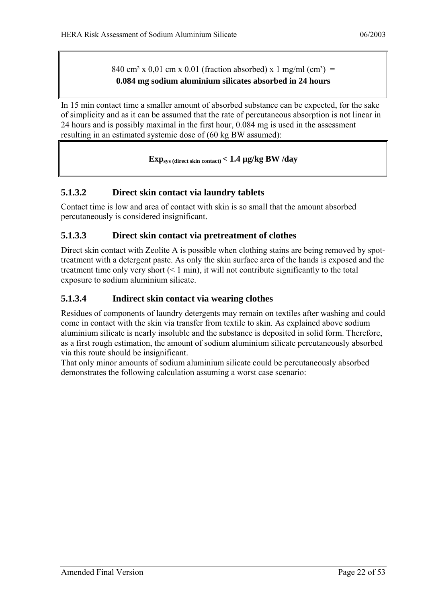840 cm<sup>2</sup> x 0,01 cm x 0.01 (fraction absorbed) x 1 mg/ml (cm<sup>3</sup>) = **0.084 mg sodium aluminium silicates absorbed in 24 hours** 

<span id="page-21-0"></span>In 15 min contact time a smaller amount of absorbed substance can be expected, for the sake of simplicity and as it can be assumed that the rate of percutaneous absorption is not linear in 24 hours and is possibly maximal in the first hour, 0.084 mg is used in the assessment resulting in an estimated systemic dose of (60 kg BW assumed):

#### **Expsys (direct skin contact) < 1.4 µg/kg BW /day**

#### **5.1.3.2 Direct skin contact via laundry tablets**

Contact time is low and area of contact with skin is so small that the amount absorbed percutaneously is considered insignificant.

#### **5.1.3.3 Direct skin contact via pretreatment of clothes**

Direct skin contact with Zeolite A is possible when clothing stains are being removed by spottreatment with a detergent paste. As only the skin surface area of the hands is exposed and the treatment time only very short  $(< 1$  min), it will not contribute significantly to the total exposure to sodium aluminium silicate.

#### **5.1.3.4 Indirect skin contact via wearing clothes**

Residues of components of laundry detergents may remain on textiles after washing and could come in contact with the skin via transfer from textile to skin. As explained above sodium aluminium silicate is nearly insoluble and the substance is deposited in solid form. Therefore, as a first rough estimation, the amount of sodium aluminium silicate percutaneously absorbed via this route should be insignificant.

That only minor amounts of sodium aluminium silicate could be percutaneously absorbed demonstrates the following calculation assuming a worst case scenario: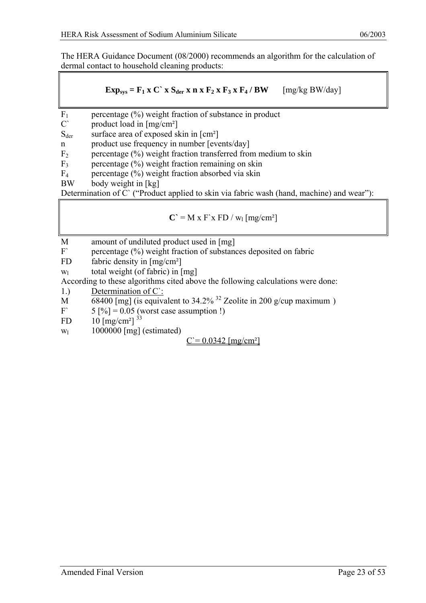The HERA Guidance Document (08/2000) recommends an algorithm for the calculation of dermal contact to household cleaning products:

$$
Exp_{sys} = F_1 \times C^* \times S_{der} \times n \times F_2 \times F_3 \times F_4 / BW \qquad [mg/kg \, BW/day]
$$

- $F_1$  percentage (%) weight fraction of substance in product<br>C' product load in  $Im(z)$
- product load in  $[mg/cm^2]$
- $S_{\text{der}}$  surface area of exposed skin in  $\lceil \text{cm}^2 \rceil$
- n product use frequency in number [events/day]
- $F<sub>2</sub>$  percentage (%) weight fraction transferred from medium to skin
- $F_3$  percentage (%) weight fraction remaining on skin
- $F_4$  percentage (%) weight fraction absorbed via skin
- BW body weight in [kg]

Determination of C` ("Product applied to skin via fabric wash (hand, machine) and wear"):

$$
C' = M x F' x FD / w_1 [mg/cm^2]
$$

- M amount of undiluted product used in [mg]
- F percentage (%) weight fraction of substances deposited on fabric
- FD fabric density in  $[mg/cm<sup>2</sup>]$
- $w_1$  total weight (of fabric) in [mg]

According to these algorithms cited above the following calculations were done:

- 1.) Determination of C`:
- M 68400 [mg] (is equivalent to 34.2% <sup>32</sup> Zeolite in 200 g/cup maximum )<br>F 5 [%] = 0.05 (worst case assumption 1)
- $5 [%] = 0.05$  (worst case assumption !)
- FD  $10 \,[{\rm mg/cm^2}]^{33}$  $10 \,[{\rm mg/cm^2}]^{33}$  $10 \,[{\rm mg/cm^2}]^{33}$
- $w_1$  1000000 [mg] (estimated)

 $C = 0.0342$  [mg/cm<sup>2</sup>]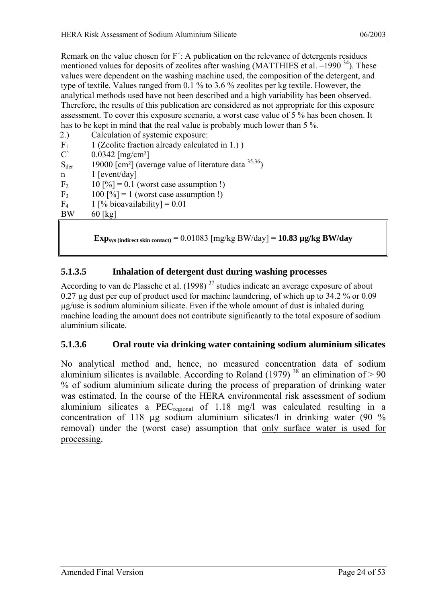<span id="page-23-0"></span>Remark on the value chosen for F´: A publication on the relevance of detergents residues mentioned values for deposits of zeolites after washing (MATTHIES et al.  $-1990^{34}$ ). These values were dependent on the washing machine used, the composition of the detergent, and type of textile. Values ranged from 0.1 % to 3.6 % zeolites per kg textile. However, the analytical methods used have not been described and a high variability has been observed. Therefore, the results of this publication are considered as not appropriate for this exposure assessment. To cover this exposure scenario, a worst case value of 5 % has been chosen. It has to be kept in mind that the real value is probably much lower than 5 %.

| 1 (Zeolite fraction already calculated in 1.))<br>F <sub>1</sub><br>$C^{\prime}$<br>$0.0342$ [mg/cm <sup>2</sup> ]<br>19000 [cm <sup>2</sup> ] (average value of literature data $^{35,36}$ )<br>$S_{\text{der}}$<br>$1$ [event/day]<br>$\mathbf n$<br>F <sub>2</sub><br>$10$ [%] = 0.1 (worst case assumption !)<br>$100$ [%] = 1 (worst case assumption !)<br>F <sub>3</sub><br>1 [% bioavailability] = $0.01$<br>F <sub>4</sub><br><b>BW</b><br>$60$ [kg] | 2.) | Calculation of systemic exposure: |
|--------------------------------------------------------------------------------------------------------------------------------------------------------------------------------------------------------------------------------------------------------------------------------------------------------------------------------------------------------------------------------------------------------------------------------------------------------------|-----|-----------------------------------|
|                                                                                                                                                                                                                                                                                                                                                                                                                                                              |     |                                   |
|                                                                                                                                                                                                                                                                                                                                                                                                                                                              |     |                                   |
|                                                                                                                                                                                                                                                                                                                                                                                                                                                              |     |                                   |
|                                                                                                                                                                                                                                                                                                                                                                                                                                                              |     |                                   |
|                                                                                                                                                                                                                                                                                                                                                                                                                                                              |     |                                   |
|                                                                                                                                                                                                                                                                                                                                                                                                                                                              |     |                                   |
|                                                                                                                                                                                                                                                                                                                                                                                                                                                              |     |                                   |
|                                                                                                                                                                                                                                                                                                                                                                                                                                                              |     |                                   |

**Exp**<sub>sys</sub> (indirect skin contact)</sub> =  $0.01083$  [mg/kg BW/day] =  $10.83$   $\mu$ g/kg BW/day

#### **5.1.3.5 Inhalation of detergent dust during washing processes**

According to van de Plassche et al. (1998)  $37$  studies indicate an average exposure of about 0.27 µg dust per cup of product used for machine laundering, of which up to 34.2 % or 0.09 µg/use is sodium aluminium silicate. Even if the whole amount of dust is inhaled during machine loading the amount does not contribute significantly to the total exposure of sodium aluminium silicate.

#### **5.1.3.6 Oral route via drinking water containing sodium aluminium silicates**

No analytical method and, hence, no measured concentration data of sodium aluminium silicates is available. According to Roland (1979)  $38$  an elimination of  $> 90$ % of sodium aluminium silicate during the process of preparation of drinking water was estimated. In the course of the HERA environmental risk assessment of sodium aluminium silicates a PEC<sub>regional</sub> of 1.18 mg/l was calculated resulting in a concentration of 118 µg sodium aluminium silicates/l in drinking water (90 % removal) under the (worst case) assumption that only surface water is used for processing.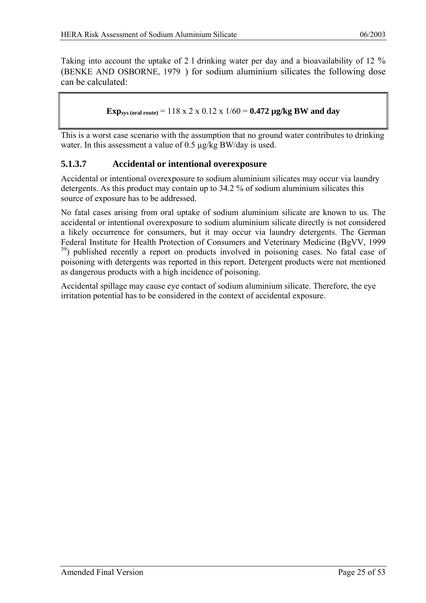<span id="page-24-0"></span>Taking into account the uptake of 2 l drinking water per day and a bioavailability of 12 % (BENKE AND OSBORNE, 1979 [\) f](#page-38-1)or sodium aluminium silicates the following dose can be calculated:

**Exp**<sub>sys (oral route)</sub> = 118 x 2 x 0.12 x 1/60 = **0.472 µg/kg BW and day** 

This is a worst case scenario with the assumption that no ground water contributes to drinking water. In this assessment a value of 0.5  $\mu$ g/kg BW/day is used.

#### **5.1.3.7 Accidental or intentional overexposure**

Accidental or intentional overexposure to sodium aluminium silicates may occur via laundry detergents. As this product may contain up to 34.2 % of sodium aluminium silicates this source of exposure has to be addressed.

No fatal cases arising from oral uptake of sodium aluminium silicate are known to us. The accidental or intentional overexposure to sodium aluminium silicate directly is not considered a likely occurrence for consumers, but it may occur via laundry detergents. The German Federal Institute for Health Protection of Consumers and Veterinary Medicine (BgVV, 1999 <sup>39</sup>) published recently a report on products involved in poisoning cases. No fatal case of poisoning with detergents was reported in this report. Detergent products were not mentioned as dangerous products with a high incidence of poisoning.

Accidental spillage may cause eye contact of sodium aluminium silicate. Therefore, the eye irritation potential has to be considered in the context of accidental exposure.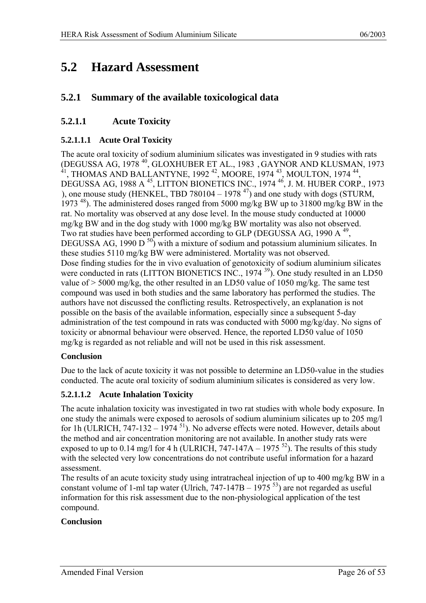## <span id="page-25-0"></span>**5.2 Hazard Assessment**

#### **5.2.1 Summary of the available toxicological data**

#### **5.2.1.1 Acute Toxicity**

#### **5.2.1.1.1 Acute Oral Toxicity**

The acute oral toxicity of sodium aluminium silicates was investigated in 9 studies with rats (DEGUSSA AG, 1978 [40,](#page-52-35) GLOXHUBER ET AL., 1983 , [G](#page-26-1)AYNOR AND KLUSMAN, 1973  $^{41}$ , T[HO](#page-52-36)MAS AND BALLANTYNE, 1992<sup>42</sup>, M[OO](#page-52-36)RE, 1974<sup>43</sup>, M[OU](#page-52-36)LTON, 1974<sup>44</sup>, DEGUSSA AG, 1988 A [45,](#page-52-37) LITTON BIONETICS INC., 1974 [46,](#page-52-37) J. M. HUBER CORP., 1973 [\),](#page-26-2) one mouse study (HENKEL, TBD 780104 – 1978  $47$ ) and one study with dogs (STURM, 1973<sup>48</sup>). The administered doses ranged from 5000 mg/kg BW up to 31800 mg/kg BW in the rat. No mortality was observed at any dose level. In the mouse study conducted at 10000 mg/kg BW and in the dog study with 1000 mg/kg BW mortality was also not observed. Two rat studies have been performed according to GLP (DEGUSSA AG, 1990 A  $^{49}$ , DEGUSSA AG, 1990 D $^{50}$ ) with a mixture of sodium and potassium aluminium silicates. In these studies 5110 mg/kg BW were administered. Mortality was not observed. Dose finding studies for the in vivo evaluation of genotoxicity of sodium aluminium silicates were conducted in rats (LITTON BIONETICS INC., 1974<sup>39</sup>). One study resulted in an LD50 value of > 5000 mg/kg, the other resulted in an LD50 value of 1050 mg/kg. The same test compound was used in both studies and the same laboratory has performed the studies. The authors have not discussed the conflicting results. Retrospectively, an explanation is not possible on the basis of the available information, especially since a subsequent 5-day administration of the test compound in rats was conducted with 5000 mg/kg/day. No signs of toxicity or abnormal behaviour were observed. Hence, the reported LD50 value of 1050 mg/kg is regarded as not reliable and will not be used in this risk assessment.

#### **Conclusion**

Due to the lack of acute toxicity it was not possible to determine an LD50-value in the studies conducted. The acute oral toxicity of sodium aluminium silicates is considered as very low.

#### **5.2.1.1.2 Acute Inhalation Toxicity**

The acute inhalation toxicity was investigated in two rat studies with whole body exposure. In one study the animals were exposed to aerosols of sodium aluminium silicates up to 205 mg/l for 1h (ULRICH,  $747-132-1974$ <sup>51</sup>). No adverse effects were noted. However, details about the method and air concentration monitoring are not available. In another study rats were exposed to up to 0.14 mg/l for 4 h (ULRICH, 747-147A – 1975<sup>52</sup>). The results of this study with the selected very low concentrations do not contribute useful information for a hazard assessment.

The results of an acute toxicity study using intratracheal injection of up to 400 mg/kg BW in a constant volume of 1-ml tap water (Ulrich,  $747-147B-1975$ <sup>53</sup>) are not regarded as useful information for this risk assessment due to the non-physiological application of the test compound.

#### **Conclusion**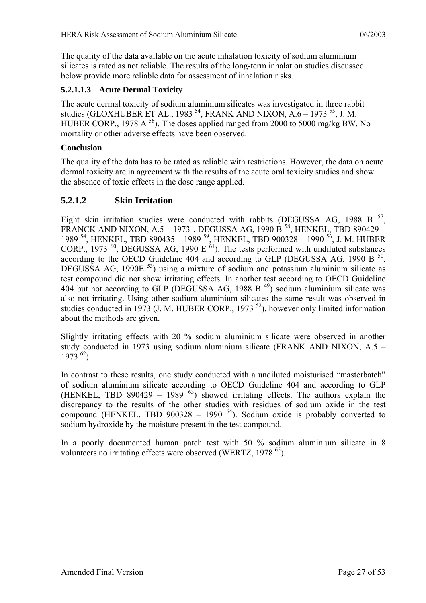<span id="page-26-0"></span>The quality of the data available on the acute inhalation toxicity of sodium aluminium silicates is rated as not reliable. The results of the long-term inhalation studies discussed below provide more reliable data for assessment of inhalation risks.

#### **5.2.1.1.3 Acute Dermal Toxicity**

<span id="page-26-1"></span>The acute dermal toxicity of sodium aluminium silicates was investigated in three rabbit studies (GLOXHUBER ET AL., 1983<sup>54</sup>, FRANK AND NIXON, A.6 – 1973<sup>55</sup>, J. M. HUBER CORP., 1978 A  $^{56}$ ). The doses applied ranged from 2000 to 5000 mg/kg BW. No mortality or other adverse effects have been observed.

#### **Conclusion**

The quality of the data has to be rated as reliable with restrictions. However, the data on acute dermal toxicity are in agreement with the results of the acute oral toxicity studies and show the absence of toxic effects in the dose range applied.

#### **5.2.1.2 Skin Irritation**

<span id="page-26-2"></span>Eight skin irritation studies were conducted with rabbits (DEGUSSA AG, 1988 B  $^{57}$ , FRANCK AND NIXON, A.5 – 1973[, D](#page-26-3)EGUSSA AG, 1990 B<sup>58</sup>[, H](#page-52-48)ENKEL, TBD 890429 – 1989<sup>54</sup>, H[EN](#page-52-41)KEL, TBD 890435 – 1989<sup>59</sup>, HENKEL, TBD 900328 – 1990<sup>56</sup>, J. M. HUBER CORP., 1973  $^{60}$ , DEG[USS](#page-52-49)A AG, 1990 E  $^{61}$ ). The te[sts](#page-52-49) performed with undiluted substances according to the OECD Guideline 404 and according to GLP (DEGUSSA AG, 1990 B  $^{50}$ , DEGUSSA AG, 1990E  $^{53}$ ) using a mixture of sodium and potassium aluminium silicate as test compound did not show irritating effects. In another test according to OECD Guideline 404 but not according to GLP (DEGUSSA AG, 1988 B $49$ ) sodium aluminium silicate was also not irritating. Using other sodium aluminium silicates the same result was observed in studies conducted in 1973 (J. M. HUBER CORP., 1973<sup>52</sup>), however only limited information about the methods are given.

Slightly irritating effects with 20 % sodium aluminium silicate were observed in another study conducted in 1973 using sodium aluminium silicate (FRANK AND NIXON, A.5 –  $1973^{62}$ ).

<span id="page-26-3"></span>In contrast to these results, one study conducted with a undiluted moisturised "masterbatch" of sodium aluminium silicate according to OECD Guideline 404 and according to GLP (HENKEL, TBD 890429 – 1989  $^{63}$ ) showed irritating effects. The authors explain the discrepancy to the results of the other studies with residues of sodium oxide in the test compound (HENKEL, TBD 900328 – 1990<sup> $64$ </sup>). Sodium oxide is probably converted to sodium hydroxide by the moisture present in the test compound.

In a poorly documented human patch test with 50 % sodium aluminium silicate in 8 volunteers no irritating effects were observed (WERTZ, 1978<sup>65</sup>).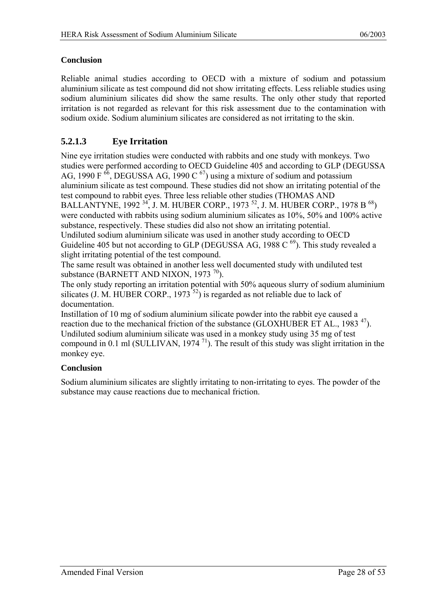#### <span id="page-27-0"></span>**Conclusion**

Reliable animal studies according to OECD with a mixture of sodium and potassium aluminium silicate as test compound did not show irritating effects. Less reliable studies using sodium aluminium silicates did show the same results. The only other study that reported irritation is not regarded as relevant for this risk assessment due to the contamination with sodium oxide. Sodium aluminium silicates are considered as not irritating to the skin.

#### **5.2.1.3 Eye Irritation**

Nine eye irritation studies were conducted with rabbits and one study with monkeys. Two studies were performed according to OECD Guideline 405 and according to GLP (DEGUSSA AG, 1990 F  $^{66}$ , DEGUSSA AG, 1990 C  $^{67}$ ) using a mixture of sodium and potassium aluminium silicate as test compound. These studies did not show an irritating potential of the test compound to rabbit eyes. Three less reliable other studies (THOMAS AND BALLANTYNE, 1992<sup>34</sup>, J. M. HUBER CORP., 1973<sup>52</sup>, J. M. HUBER CORP., 1978 B<sup>68</sup>) were conducted with rabbits using sodium aluminium silicates as 10%, 50% and 100% active substance, respectively. These studies did also not show an irritating potential. Undiluted sodium aluminium silicate was used in another study according to OECD Guideline 405 but not according to GLP (DEGUSSA AG, 1988 C $^{69}$ ). This study revealed a slight irritating potential of the test compound.

The same result was obtained in another less well documented study with undiluted test substance (BARNETT AND NIXON, 1973 $^{70}$ ).

The only study reporting an irritation potential with 50% aqueous slurry of sodium aluminium silicates (J. M. HUBER CORP., 1973<sup>52</sup>) is regarded as not reliable due to lack of documentation.

Instillation of 10 mg of sodium aluminium silicate powder into the rabbit eye caused a reaction due to the mechanical friction of the substance (GLOXHUBER ET AL., 1983<sup>47</sup>). Undiluted sodium aluminium silicate was used in a monkey study using 35 mg of test compound in 0.1 ml (SULLIVAN,  $1974$ <sup>71</sup>). The result of this study was slight irritation in the monkey eye.

#### **Conclusion**

Sodium aluminium silicates are slightly irritating to non-irritating to eyes. The powder of the substance may cause reactions due to mechanical friction.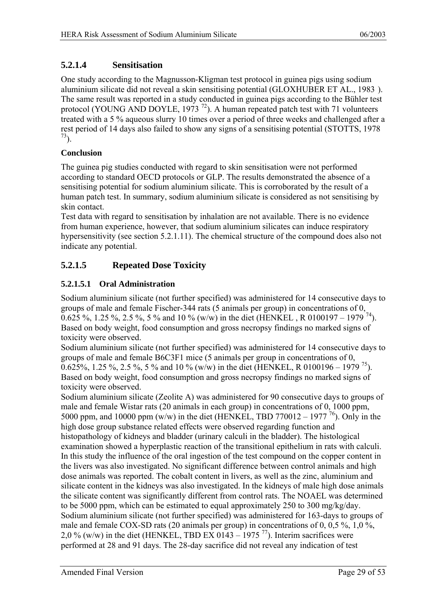#### <span id="page-28-0"></span>**5.2.1.4 Sensitisation**

One study according to the Magnusson-Kligman test protocol in guinea pigs using sodium aluminium silicate did not reveal a skin sensitising potential (GLOXHUBER ET AL., 1983 ). [Th](#page-26-1)e same result was reported in a study conducted in guinea pigs according to the Bühler test protocol (YOUNG AND DOYLE, 1973<sup>72</sup>). [A h](#page-52-58)uman repeated patch test with 71 volunteers treated with a 5 % aqueous slurry 10 times over a period of three weeks and challenged after a rest period of 14 days also failed to show any signs of a sensitising potential (STOTTS, 1978  $^{73}$ ).

#### **Conclusion**

The guinea pig studies conducted with regard to skin sensitisation were not performed according to standard OECD protocols or GLP. The results demonstrated the absence of a sensitising potential for sodium aluminium silicate. This is corroborated by the result of a human patch test. In summary, sodium aluminium silicate is considered as not sensitising by skin contact.

Test data with regard to sensitisation by inhalation are not available. There is no evidence from human experience, however, that sodium aluminium silicates can induce respiratory hypersensitivity (see section 5.2.1.11). The chemical structure of the compound does also not indicate any potential.

### **5.2.1.5 Repeated Dose Toxicity**

#### **5.2.1.5.1 Oral Administration**

Sodium aluminium silicate (not further specified) was administered for 14 consecutive days to groups of male and female Fischer-344 rats (5 animals per group) in concentrations of 0, 0.625 %, 1.25 %, 2.5 %, 5 % and 10 % (w/w) in the diet (HENKEL, R 0100197 – 1979<sup>74</sup>). Based on body weight, food consumption and gross necropsy findings no marked signs of toxicity were observed.

Sodium aluminium silicate (not further specified) was administered for 14 consecutive days to groups of male and female B6C3F1 mice (5 animals per group in concentrations of 0, 0.625%, 1.25 %, 2.5 %, 5 % and 10 % (w/w) in the diet (HENKEL, R 0100196 – 1979 <sup>75</sup>). Based on body weight, food consumption and gross necropsy findings no marked signs of toxicity were observed.

Sodium aluminium silicate (Zeolite A) was administered for 90 consecutive days to groups of male and female Wistar rats (20 animals in each group) in concentrations of 0, 1000 ppm, 5000 ppm, and 10000 ppm (w/w) in the diet (HENKEL, TBD 770012 – 1977 <sup>76</sup>). Only in the high dose group substance related effects were observed regarding function and histopathology of kidneys and bladder (urinary calculi in the bladder). The histological examination showed a hyperplastic reaction of the transitional epithelium in rats with calculi. In this study the influence of the oral ingestion of the test compound on the copper content in the livers was also investigated. No significant difference between control animals and high dose animals was reported. The cobalt content in livers, as well as the zinc, aluminium and silicate content in the kidneys was also investigated. In the kidneys of male high dose animals the silicate content was significantly different from control rats. The NOAEL was determined to be 5000 ppm, which can be estimated to equal approximately 250 to 300 mg/kg/day. Sodium aluminium silicate (not further specified) was administered for 163-days to groups of male and female COX-SD rats (20 animals per group) in concentrations of 0, 0,5 %, 1,0 %, 2,0 % (w/w) in the diet (HENKEL, TBD EX 0143 – 1975  $^{77}$ ). Interim sacrifices were performed at 28 and 91 days. The 28-day sacrifice did not reveal any indication of test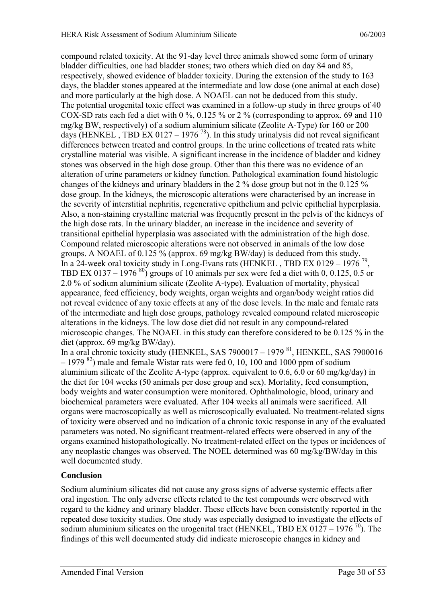compound related toxicity. At the 91-day level three animals showed some form of urinary bladder difficulties, one had bladder stones; two others which died on day 84 and 85, respectively, showed evidence of bladder toxicity. During the extension of the study to 163 days, the bladder stones appeared at the intermediate and low dose (one animal at each dose) and more particularly at the high dose. A NOAEL can not be deduced from this study. The potential urogenital toxic effect was examined in a follow-up study in three groups of 40 COX-SD rats each fed a diet with 0 %, 0.125 % or 2 % (corresponding to approx. 69 and 110 mg/kg BW, respectively) of a sodium aluminium silicate (Zeolite A-Type) for 160 or 200 days (HENKEL, TBD EX 0127 – 1976<sup>78</sup>). In this study urinalysis did not reveal significant differences between treated and control groups. In the urine collections of treated rats white crystalline material was visible. A significant increase in the incidence of bladder and kidney stones was observed in the high dose group. Other than this there was no evidence of an alteration of urine parameters or kidney function. Pathological examination found histologic changes of the kidneys and urinary bladders in the 2 % dose group but not in the 0.125 % dose group. In the kidneys, the microscopic alterations were characterised by an increase in the severity of interstitial nephritis, regenerative epithelium and pelvic epithelial hyperplasia. Also, a non-staining crystalline material was frequently present in the pelvis of the kidneys of the high dose rats. In the urinary bladder, an increase in the incidence and severity of transitional epithelial hyperplasia was associated with the administration of the high dose. Compound related microscopic alterations were not observed in animals of the low dose groups. A NOAEL of 0.125 % (approx. 69 mg/kg BW/day) is deduced from this study. In a 24-week oral toxicity study in Long-Evans rats (HENKEL, TBD EX 0129 – 1976<sup>79</sup>, TBD EX 0137 – 1976  $^{80}$ ) groups of 10 animals per sex were fed a diet with 0, 0.125, 0.5 or 2.0 % of sodium aluminium silicate (Zeolite A-type). Evaluation of mortality, physical appearance, feed efficiency, body weights, organ weights and organ/body weight ratios did not reveal evidence of any toxic effects at any of the dose levels. In the male and female rats of the intermediate and high dose groups, pathology revealed compound related microscopic alterations in the kidneys. The low dose diet did not result in any compound-related microscopic changes. The NOAEL in this study can therefore considered to be 0.125 % in the diet (approx. 69 mg/kg BW/day).

<span id="page-29-0"></span>In a oral chronic toxicity study (HENKEL, SAS 7900017 – 1979  $^{81}$ , HENKEL, SAS 7900016  $-1979$ <sup>82</sup>) male and female Wistar rats were fed 0, 10, 100 and 1000 ppm of sodium aluminium silicate of the Zeolite A-type (approx. equivalent to 0.6, 6.0 or 60 mg/kg/day) in the diet for 104 weeks (50 animals per dose group and sex). Mortality, feed consumption, body weights and water consumption were monitored. Ophthalmologic, blood, urinary and biochemical parameters were evaluated. After 104 weeks all animals were sacrificed. All organs were macroscopically as well as microscopically evaluated. No treatment-related signs of toxicity were observed and no indication of a chronic toxic response in any of the evaluated parameters was noted. No significant treatment-related effects were observed in any of the organs examined histopathologically. No treatment-related effect on the types or incidences of any neoplastic changes was observed. The NOEL determined was 60 mg/kg/BW/day in this well documented study.

#### **Conclusion**

Sodium aluminium silicates did not cause any gross signs of adverse systemic effects after oral ingestion. The only adverse effects related to the test compounds were observed with regard to the kidney and urinary bladder. These effects have been consistently reported in the repeated dose toxicity studies. One study was especially designed to investigate the effects of sodium aluminium silicates on the urogenital tract (HENKEL, TBD EX 0127 – 1976  $^{70}$ ). The findings of this well documented study did indicate microscopic changes in kidney and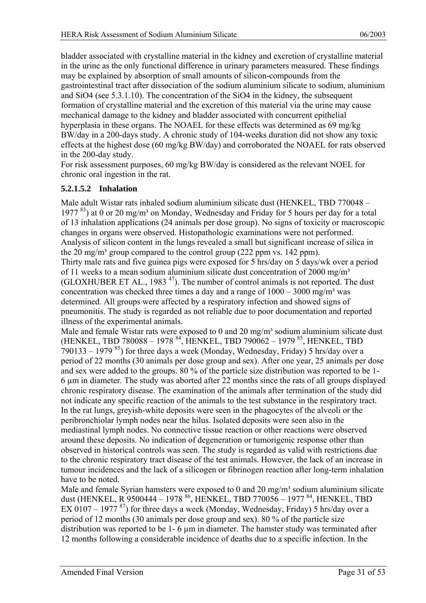bladder associated with crystalline material in the kidney and excretion of crystalline material in the urine as the only functional difference in urinary parameters measured. These findings may be explained by absorption of small amounts of silicon-compounds from the gastrointestinal tract after dissociation of the sodium aluminium silicate to sodium, aluminium and SiO4 (see 5.3.1.10). The concentration of the SiO4 in the kidney, the subsequent formation of crystalline material and the excretion of this material via the urine may cause mechanical damage to the kidney and bladder associated with concurrent epithelial hyperplasia in these organs. The NOAEL for these effects was determined as 69 mg/kg BW/day in a 200-days study. A chronic study of 104-weeks duration did not show any toxic effects at the highest dose (60 mg/kg BW/day) and corroborated the NOAEL for rats observed in the 200-day study.

For risk assessment purposes, 60 mg/kg BW/day is considered as the relevant NOEL for chronic oral ingestion in the rat.

#### **5.2.1.5.2 Inhalation**

Male adult Wistar rats inhaled sodium aluminium silicate dust (HENKEL, TBD 770048 – 1977<sup>83</sup>) at 0 or 20 mg/m<sup>3</sup> on Monday, Wednesday and Friday for 5 hours per day for a total of 13 inhalation applications (24 animals per dose group). No signs of toxicity or macroscopic changes in organs were observed. Histopathologic examinations were not performed. Analysis of silicon content in the lungs revealed a small but significant increase of silica in the 20 mg/m<sup>3</sup> group compared to the control group (222 ppm vs. 142 ppm). Thirty male rats and five guinea pigs were exposed for 5 hrs/day on 5 days/wk over a period of 11 weeks to a mean sodium aluminium silicate dust concentration of 2000 mg/m<sup>3</sup> (GLOXHUBER ET AL., 1983<sup>47</sup>). The number of control animals is not reported. The dust concentration was checked three times a day and a range of  $1000 - 3000$  mg/m<sup>3</sup> was determined. All groups were affected by a respiratory infection and showed signs of pneumonitis. The study is regarded as not reliable due to poor documentation and reported illness of the experimental animals.

Male and female Wistar rats were exposed to 0 and 20 mg/m<sup>3</sup> sodium aluminium silicate dust (HENKEL, TBD 780088 – 1978 <sup>84</sup>, HENKEL, TBD 790062 – 1979 <sup>85</sup>, HENKEL, TBD 790133 – 1979  $85$ ) for three days a week (Monday, Wednesday, Friday) 5 hrs/day over a period of 22 months (30 animals per dose group and sex). After one year, 25 animals per dose and sex were added to the groups. 80 % of the particle size distribution was reported to be 1- 6 µm in diameter. The study was aborted after 22 months since the rats of all groups displayed chronic respiratory disease. The examination of the animals after termination of the study did not indicate any specific reaction of the animals to the test substance in the respiratory tract. In the rat lungs, greyish-white deposits were seen in the phagocytes of the alveoli or the peribronchiolar lymph nodes near the hilus. Isolated deposits were seen also in the mediastinal lymph nodes. No connective tissue reaction or other reactions were observed around these deposits. No indication of degeneration or tumorigenic response other than observed in historical controls was seen. The study is regarded as valid with restrictions due to the chronic respiratory tract disease of the test animals. However, the lack of an increase in tumour incidences and the lack of a silicogen or fibrinogen reaction after long-term inhalation have to be noted.

Male and female Syrian hamsters were exposed to 0 and 20 mg/m<sup>3</sup> sodium aluminium silicate dust (HENKEL, R 9500444 – 1978 <sup>86</sup>, HENKEL, TBD 770056 – 1977 <sup>84</sup>, HENKEL, TBD EX 0107 – 1977<sup>87</sup>) for three days a week (Monday, Wednesday, Friday) 5 hrs/day over a period of 12 months (30 animals per dose group and sex). 80 % of the particle size distribution was reported to be 1- 6  $\mu$ m in diameter. The hamster study was terminated after 12 months following a considerable incidence of deaths due to a specific infection. In the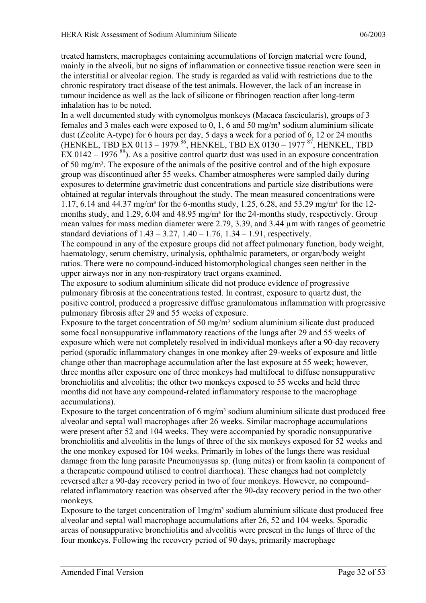treated hamsters, macrophages containing accumulations of foreign material were found, mainly in the alveoli, but no signs of inflammation or connective tissue reaction were seen in the interstitial or alveolar region. The study is regarded as valid with restrictions due to the chronic respiratory tract disease of the test animals. However, the lack of an increase in tumour incidence as well as the lack of silicone or fibrinogen reaction after long-term inhalation has to be noted.

In a well documented study with cynomolgus monkeys (Macaca fascicularis), groups of 3 females and 3 males each were exposed to 0, 1, 6 and 50 mg/m<sup>3</sup> sodium aluminium silicate dust (Zeolite A-type) for 6 hours per day, 5 days a week for a period of 6, 12 or 24 months (HENKEL, TBD EX 0113 – 1979 86, HENKEL, TBD EX 0130 – 1977 87, HENKEL, TBD EX 0142 – 1976  $^{88}$ ). As a positive control quartz dust was used in an exposure concentration of 50 mg/m<sup>3</sup>. The exposure of the animals of the positive control and of the high exposure group was discontinued after 55 weeks. Chamber atmospheres were sampled daily during exposures to determine gravimetric dust concentrations and particle size distributions were obtained at regular intervals throughout the study. The mean measured concentrations were 1.17, 6.14 and 44.37 mg/m<sup>3</sup> for the 6-months study, 1.25, 6.28, and 53.29 mg/m<sup>3</sup> for the 12months study, and 1.29, 6.04 and 48.95 mg/m<sup>3</sup> for the 24-months study, respectively. Group mean values for mass median diameter were 2.79, 3.39, and 3.44 µm with ranges of geometric standard deviations of  $1.43 - 3.27$ ,  $1.40 - 1.76$ ,  $1.34 - 1.91$ , respectively.

The compound in any of the exposure groups did not affect pulmonary function, body weight, haematology, serum chemistry, urinalysis, ophthalmic parameters, or organ/body weight ratios. There were no compound-induced histomorphological changes seen neither in the upper airways nor in any non-respiratory tract organs examined.

The exposure to sodium aluminium silicate did not produce evidence of progressive pulmonary fibrosis at the concentrations tested. In contrast, exposure to quartz dust, the positive control, produced a progressive diffuse granulomatous inflammation with progressive pulmonary fibrosis after 29 and 55 weeks of exposure.

Exposure to the target concentration of 50 mg/m<sup>3</sup> sodium aluminium silicate dust produced some focal nonsuppurative inflammatory reactions of the lungs after 29 and 55 weeks of exposure which were not completely resolved in individual monkeys after a 90-day recovery period (sporadic inflammatory changes in one monkey after 29-weeks of exposure and little change other than macrophage accumulation after the last exposure at 55 week; however, three months after exposure one of three monkeys had multifocal to diffuse nonsuppurative bronchiolitis and alveolitis; the other two monkeys exposed to 55 weeks and held three months did not have any compound-related inflammatory response to the macrophage accumulations).

Exposure to the target concentration of  $6 \text{ mg/m}^3$  sodium aluminium silicate dust produced free alveolar and septal wall macrophages after 26 weeks. Similar macrophage accumulations were present after 52 and 104 weeks. They were accompanied by sporadic nonsuppurative bronchiolitis and alveolitis in the lungs of three of the six monkeys exposed for 52 weeks and the one monkey exposed for 104 weeks. Primarily in lobes of the lungs there was residual damage from the lung parasite Pneumonyssus sp. (lung mites) or from kaolin (a component of a therapeutic compound utilised to control diarrhoea). These changes had not completely reversed after a 90-day recovery period in two of four monkeys. However, no compoundrelated inflammatory reaction was observed after the 90-day recovery period in the two other monkeys.

Exposure to the target concentration of  $1mg/m<sup>3</sup>$  sodium aluminium silicate dust produced free alveolar and septal wall macrophage accumulations after 26, 52 and 104 weeks. Sporadic areas of nonsuppurative bronchiolitis and alveolitis were present in the lungs of three of the four monkeys. Following the recovery period of 90 days, primarily macrophage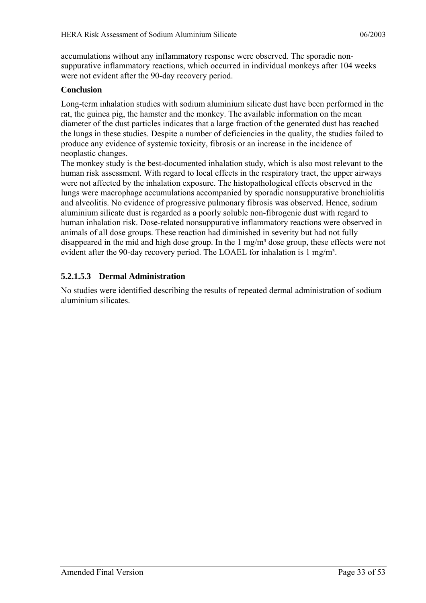accumulations without any inflammatory response were observed. The sporadic nonsuppurative inflammatory reactions, which occurred in individual monkeys after 104 weeks were not evident after the 90-day recovery period.

#### **Conclusion**

Long-term inhalation studies with sodium aluminium silicate dust have been performed in the rat, the guinea pig, the hamster and the monkey. The available information on the mean diameter of the dust particles indicates that a large fraction of the generated dust has reached the lungs in these studies. Despite a number of deficiencies in the quality, the studies failed to produce any evidence of systemic toxicity, fibrosis or an increase in the incidence of neoplastic changes.

The monkey study is the best-documented inhalation study, which is also most relevant to the human risk assessment. With regard to local effects in the respiratory tract, the upper airways were not affected by the inhalation exposure. The histopathological effects observed in the lungs were macrophage accumulations accompanied by sporadic nonsuppurative bronchiolitis and alveolitis. No evidence of progressive pulmonary fibrosis was observed. Hence, sodium aluminium silicate dust is regarded as a poorly soluble non-fibrogenic dust with regard to human inhalation risk. Dose-related nonsuppurative inflammatory reactions were observed in animals of all dose groups. These reaction had diminished in severity but had not fully disappeared in the mid and high dose group. In the 1 mg/m<sup>3</sup> dose group, these effects were not evident after the 90-day recovery period. The LOAEL for inhalation is  $1 \text{ mg/m}^3$ .

#### **5.2.1.5.3 Dermal Administration**

No studies were identified describing the results of repeated dermal administration of sodium aluminium silicates.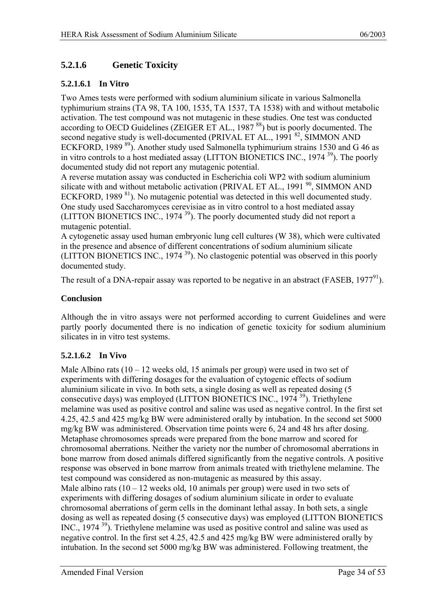### <span id="page-33-0"></span>**5.2.1.6 Genetic Toxicity**

#### **5.2.1.6.1 In Vitro**

Two Ames tests were performed with sodium aluminium silicate in various Salmonella typhimurium strains (TA 98, TA 100, 1535, TA 1537, TA 1538) with and without metabolic activation. The test compound was not mutagenic in these studies. One test was conducted according to OECD Guidelines (ZEIGER ET AL., 1987<sup>88</sup>) but is poorly documented. The second negative study is well-documented (PRIVAL ET AL., 1991<sup>82</sup>, SIMMON AND ECKFORD, 1989<sup>89</sup>). Another study used Salmonella typhimurium strains 1530 and G 46 as in vitro controls to a host mediated assay (LITTON BIONETICS INC.,  $1974^{39}$ ). The poorly documented study did not report any mutagenic potential.

A reverse mutation assay was conducted in Escherichia coli WP2 with sodium aluminium silicate with and without metabolic activation (PRIVAL ET AL., 1991 $^{90}$ , SIMMON AND ECKFORD, 1989<sup>81</sup>). No mutagenic potential was detected in this well documented study. One study used Saccharomyces cerevisiae as in vitro control to a host mediated assay (LITTON BIONETICS INC., 1974<sup>39</sup>). The poorly documented study did not report a mutagenic potential.

A cytogenetic assay used human embryonic lung cell cultures (W 38), which were cultivated in the presence and absence of different concentrations of sodium aluminium silicate (LITTON BIONETICS INC., 1974<sup>39</sup>). No clastogenic potential was observed in this poorly documented study.

The result of a DNA-repair assay was reported to be negative in an abstract (FASEB,  $1977<sup>91</sup>$ ).

#### **Conclusion**

Although the in vitro assays were not performed according to current Guidelines and were partly poorly documented there is no indication of genetic toxicity for sodium aluminium silicates in in vitro test systems.

#### **5.2.1.6.2 In Vivo**

Male Albino rats  $(10 - 12$  weeks old, 15 animals per group) were used in two set of experiments with differing dosages for the evaluation of cytogenic effects of sodium aluminium silicate in vivo. In both sets, a single dosing as well as repeated dosing (5 consecutive days) was employed (LITTON BIONETICS INC.,  $1974^{39}$ ). Triethylene melamine was used as positive control and saline was used as negative control. In the first set 4.25, 42.5 and 425 mg/kg BW were administered orally by intubation. In the second set 5000 mg/kg BW was administered. Observation time points were 6, 24 and 48 hrs after dosing. Metaphase chromosomes spreads were prepared from the bone marrow and scored for chromosomal aberrations. Neither the variety nor the number of chromosomal aberrations in bone marrow from dosed animals differed significantly from the negative controls. A positive response was observed in bone marrow from animals treated with triethylene melamine. The test compound was considered as non-mutagenic as measured by this assay. Male albino rats  $(10 - 12$  weeks old, 10 animals per group) were used in two sets of experiments with differing dosages of sodium aluminium silicate in order to evaluate chromosomal aberrations of germ cells in the dominant lethal assay. In both sets, a single dosing as well as repeated dosing (5 consecutive days) was employed (LITTON BIONETICS INC., 1974<sup>39</sup>). Triethylene melamine was used as positive control and saline was used as negative control. In the first set 4.25, 42.5 and 425 mg/kg BW were administered orally by intubation. In the second set 5000 mg/kg BW was administered. Following treatment, the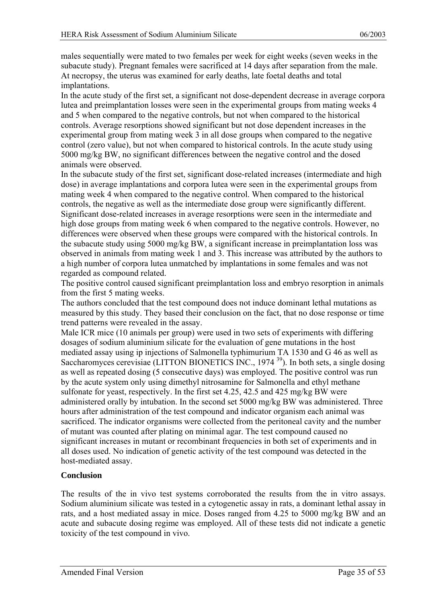males sequentially were mated to two females per week for eight weeks (seven weeks in the subacute study). Pregnant females were sacrificed at 14 days after separation from the male. At necropsy, the uterus was examined for early deaths, late foetal deaths and total implantations.

In the acute study of the first set, a significant not dose-dependent decrease in average corpora lutea and preimplantation losses were seen in the experimental groups from mating weeks 4 and 5 when compared to the negative controls, but not when compared to the historical controls. Average resorptions showed significant but not dose dependent increases in the experimental group from mating week 3 in all dose groups when compared to the negative control (zero value), but not when compared to historical controls. In the acute study using 5000 mg/kg BW, no significant differences between the negative control and the dosed animals were observed.

In the subacute study of the first set, significant dose-related increases (intermediate and high dose) in average implantations and corpora lutea were seen in the experimental groups from mating week 4 when compared to the negative control. When compared to the historical controls, the negative as well as the intermediate dose group were significantly different. Significant dose-related increases in average resorptions were seen in the intermediate and high dose groups from mating week 6 when compared to the negative controls. However, no differences were observed when these groups were compared with the historical controls. In the subacute study using 5000 mg/kg BW, a significant increase in preimplantation loss was observed in animals from mating week 1 and 3. This increase was attributed by the authors to a high number of corpora lutea unmatched by implantations in some females and was not regarded as compound related.

The positive control caused significant preimplantation loss and embryo resorption in animals from the first 5 mating weeks.

The authors concluded that the test compound does not induce dominant lethal mutations as measured by this study. They based their conclusion on the fact, that no dose response or time trend patterns were revealed in the assay.

Male ICR mice (10 animals per group) were used in two sets of experiments with differing dosages of sodium aluminium silicate for the evaluation of gene mutations in the host mediated assay using ip injections of Salmonella typhimurium TA 1530 and G 46 as well as Saccharomyces cerevisiae (LITTON BIONETICS INC.,  $1974^{39}$ ). In both sets, a single dosing as well as repeated dosing (5 consecutive days) was employed. The positive control was run by the acute system only using dimethyl nitrosamine for Salmonella and ethyl methane sulfonate for yeast, respectively. In the first set 4.25, 42.5 and 425 mg/kg BW were administered orally by intubation. In the second set 5000 mg/kg BW was administered. Three hours after administration of the test compound and indicator organism each animal was sacrificed. The indicator organisms were collected from the peritoneal cavity and the number of mutant was counted after plating on minimal agar. The test compound caused no significant increases in mutant or recombinant frequencies in both set of experiments and in all doses used. No indication of genetic activity of the test compound was detected in the host-mediated assay.

#### **Conclusion**

The results of the in vivo test systems corroborated the results from the in vitro assays. Sodium aluminium silicate was tested in a cytogenetic assay in rats, a dominant lethal assay in rats, and a host mediated assay in mice. Doses ranged from 4.25 to 5000 mg/kg BW and an acute and subacute dosing regime was employed. All of these tests did not indicate a genetic toxicity of the test compound in vivo.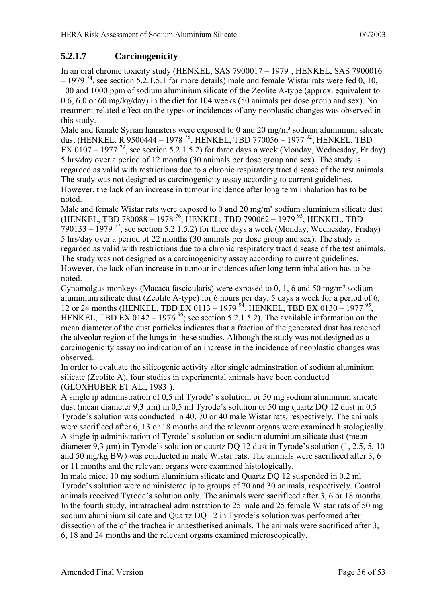### <span id="page-35-0"></span>**5.2.1.7 Carcinogenicity**

In an oral chronic toxicity study (HENKEL, SAS 7900017 – 1979 [, H](#page-29-0)ENKEL, SAS 7900016  $-1979$ <sup>74</sup>, see section 5.2.1.5.1 for more details) male and female Wistar rats were fed 0, 10, 100 and 1000 ppm of sodium aluminium silicate of the Zeolite A-type (approx. equivalent to 0.6, 6.0 or 60 mg/kg/day) in the diet for 104 weeks (50 animals per dose group and sex). No treatment-related effect on the types or incidences of any neoplastic changes was observed in this study.

Male and female Syrian hamsters were exposed to 0 and 20 mg/m<sup>3</sup> sodium aluminium silicate dust (HENKEL, R 9500444 – 1978 78, HENKEL, TBD 770056 – 1977 [92,](#page-52-76) HENKEL, TBD EX 0107 – 1977<sup>79</sup>, see section 5.2.1.5.2) for three days a week (Monday, Wednesday, Friday) 5 hrs/day over a period of 12 months (30 animals per dose group and sex). The study is regarded as valid with restrictions due to a chronic respiratory tract disease of the test animals. The study was not designed as carcinogenicity assay according to current guidelines. However, the lack of an increase in tumour incidence after long term inhalation has to be noted.

Male and female Wistar rats were exposed to 0 and 20 mg/m<sup>3</sup> sodium aluminium silicate dust (HENKEL, TBD 780088 – 1978 76, HENKEL, TBD 790062 – 1979 [93,](#page-52-47) HENKEL, TBD  $790133 - 1979^{77}$ , see section 5.2.1.5.2) for three days a week (Monday, Wednesday, Friday) 5 hrs/day over a period of 22 months (30 animals per dose group and sex). The study is regarded as valid with restrictions due to a chronic respiratory tract disease of the test animals. The study was not designed as a carcinogenicity assay according to current guidelines. However, the lack of an increase in tumour incidences after long term inhalation has to be noted.

Cynomolgus monkeys (Macaca fascicularis) were exposed to 0, 1, 6 and 50 mg/m<sup>3</sup> sodium aluminium silicate dust (Zeolite A-type) for 6 hours per day, 5 days a week for a period of 6, 12 or 24 months (HENKEL, TBD EX 0113 – 1979  $^{94}$ , HENKEL, TBD EX 0130 – 1977  $^{95}$ , HENKEL, TBD EX 0142 – 1976<sup>96</sup>; see section 5.2.1.5.2). The available information on the mean diameter of the dust particles indicates that a fraction of the generated dust has reached the alveolar region of the lungs in these studies. Although the study was not designed as a carcinogenicity assay no indication of an increase in the incidence of neoplastic changes was observed.

In order to evaluate the silicogenic activity after single adminstration of sodium aluminium silicate (Zeolite A), four studies in experimental animals have been conducted (GLOXHUBER ET AL., 1983 [\).](#page-26-1) 

A single ip administration of 0,5 ml Tyrode' s solution, or 50 mg sodium aluminium silicate dust (mean diameter 9,3 µm) in 0,5 ml Tyrode's solution or 50 mg quartz DQ 12 dust in 0,5 Tyrode's solution was conducted in 40, 70 or 40 male Wistar rats, respectively. The animals were sacrificed after 6, 13 or 18 months and the relevant organs were examined histologically. A single ip administration of Tyrode' s solution or sodium aluminium silicate dust (mean diameter 9,3 µm) in Tyrode's solution or quartz DQ 12 dust in Tyrode's solution (1, 2.5, 5, 10 and 50 mg/kg BW) was conducted in male Wistar rats. The animals were sacrificed after 3, 6 or 11 months and the relevant organs were examined histologically.

In male mice, 10 mg sodium aluminium silicate and Quartz DQ 12 suspended in 0,2 ml Tyrode's solution were administered ip to groups of 70 and 30 animals, respectively. Control animals received Tyrode's solution only. The animals were sacrificed after 3, 6 or 18 months. In the fourth study, intratracheal adminstration to 25 male and 25 female Wistar rats of 50 mg sodium aluminium silicate and Quartz DQ 12 in Tyrode's solution was performed after dissection of the of the trachea in anaesthetised animals. The animals were sacrificed after 3, 6, 18 and 24 months and the relevant organs examined microscopically.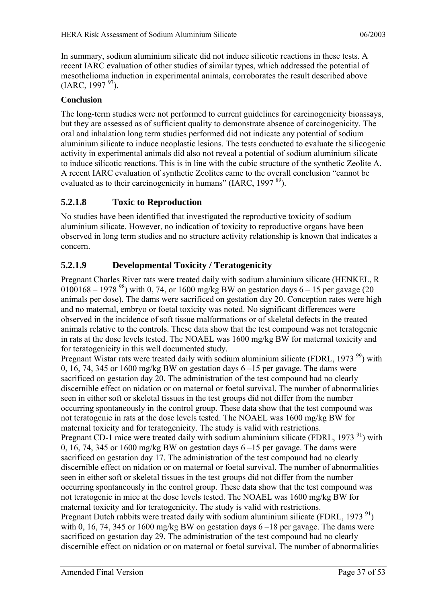<span id="page-36-0"></span>In summary, sodium aluminium silicate did not induce silicotic reactions in these tests. A recent IARC evaluation of other studies of similar types, which addressed the potential of mesothelioma induction in experimental animals, corroborates the result described above  $(IARC, 1997<sup>97</sup>)$ .

#### **Conclusion**

The long-term studies were not performed to current guidelines for carcinogenicity bioassays, but they are assessed as of sufficient quality to demonstrate absence of carcinogenicity. The oral and inhalation long term studies performed did not indicate any potential of sodium aluminium silicate to induce neoplastic lesions. The tests conducted to evaluate the silicogenic activity in experimental animals did also not reveal a potential of sodium aluminium silicate to induce silicotic reactions. This is in line with the cubic structure of the synthetic Zeolite A. A recent IARC evaluation of synthetic Zeolites came to the overall conclusion "cannot be evaluated as to their carcinogenicity in humans" (IARC, 1997 $^{89}$ ).

#### **5.2.1.8 Toxic to Reproduction**

No studies have been identified that investigated the reproductive toxicity of sodium aluminium silicate. However, no indication of toxicity to reproductive organs have been observed in long term studies and no structure activity relationship is known that indicates a concern.

### **5.2.1.9 Developmental Toxicity / Teratogenicity**

Pregnant Charles River rats were treated daily with sodium aluminium silicate (HENKEL, R 0100168 – 1978 <sup>98</sup>) with 0, 74, or 1600 mg/kg BW on gestation days 6 – 15 per gavage (20) animals per dose). The dams were sacrificed on gestation day 20. Conception rates were high and no maternal, embryo or foetal toxicity was noted. No significant differences were observed in the incidence of soft tissue malformations or of skeletal defects in the treated animals relative to the controls. These data show that the test compound was not teratogenic in rats at the dose levels tested. The NOAEL was 1600 mg/kg BW for maternal toxicity and for teratogenicity in this well documented study.

Pregnant Wistar rats were treated daily with sodium aluminium silicate (FDRL, 1973<sup>99</sup>) with 0, 16, 74, 345 or 1600 mg/kg BW on gestation days 6 –15 per gavage. The dams were sacrificed on gestation day 20. The administration of the test compound had no clearly discernible effect on nidation or on maternal or foetal survival. The number of abnormalities seen in either soft or skeletal tissues in the test groups did not differ from the number occurring spontaneously in the control group. These data show that the test compound was not teratogenic in rats at the dose levels tested. The NOAEL was 1600 mg/kg BW for maternal toxicity and for teratogenicity. The study is valid with restrictions. Pregnant CD-1 mice were treated daily with sodium aluminium silicate (FDRL,  $1973<sup>91</sup>$ ) with 0, 16, 74, 345 or 1600 mg/kg BW on gestation days  $6 - 15$  per gavage. The dams were sacrificed on gestation day 17. The administration of the test compound had no clearly discernible effect on nidation or on maternal or foetal survival. The number of abnormalities seen in either soft or skeletal tissues in the test groups did not differ from the number occurring spontaneously in the control group. These data show that the test compound was not teratogenic in mice at the dose levels tested. The NOAEL was 1600 mg/kg BW for maternal toxicity and for teratogenicity. The study is valid with restrictions. Pregnant Dutch rabbits were treated daily with sodium aluminium silicate (FDRL, 1973 $\rm^{91}$ ) with 0, 16, 74, 345 or 1600 mg/kg BW on gestation days  $6-18$  per gavage. The dams were sacrificed on gestation day 29. The administration of the test compound had no clearly discernible effect on nidation or on maternal or foetal survival. The number of abnormalities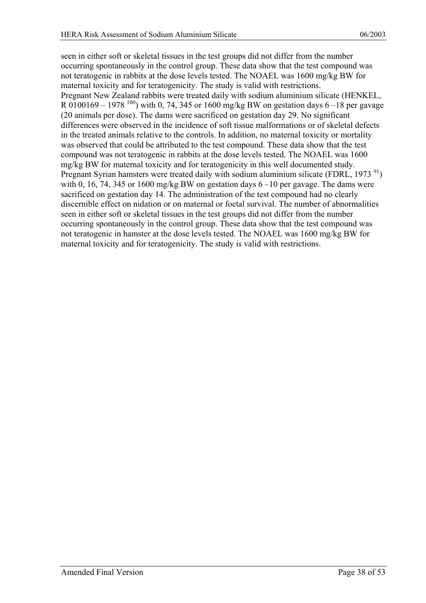seen in either soft or skeletal tissues in the test groups did not differ from the number occurring spontaneously in the control group. These data show that the test compound was not teratogenic in rabbits at the dose levels tested. The NOAEL was 1600 mg/kg BW for maternal toxicity and for teratogenicity. The study is valid with restrictions. Pregnant New Zealand rabbits were treated daily with sodium aluminium silicate (HENKEL, R 0100169 – 1978 <sup>100</sup>) with 0, 74, 345 or 1600 mg/kg BW on gestation days 6 – 18 per gavage (20 animals per dose). The dams were sacrificed on gestation day 29. No significant differences were observed in the incidence of soft tissue malformations or of skeletal defects in the treated animals relative to the controls. In addition, no maternal toxicity or mortality was observed that could be attributed to the test compound. These data show that the test compound was not teratogenic in rabbits at the dose levels tested. The NOAEL was 1600 mg/kg BW for maternal toxicity and for teratogenicity in this well documented study. Pregnant Syrian hamsters were treated daily with sodium aluminium silicate (FDRL, 1973<sup>91</sup>) with 0, 16, 74, 345 or 1600 mg/kg BW on gestation days  $6 - 10$  per gavage. The dams were sacrificed on gestation day 14. The administration of the test compound had no clearly discernible effect on nidation or on maternal or foetal survival. The number of abnormalities seen in either soft or skeletal tissues in the test groups did not differ from the number occurring spontaneously in the control group. These data show that the test compound was not teratogenic in hamster at the dose levels tested. The NOAEL was 1600 mg/kg BW for maternal toxicity and for teratogenicity. The study is valid with restrictions.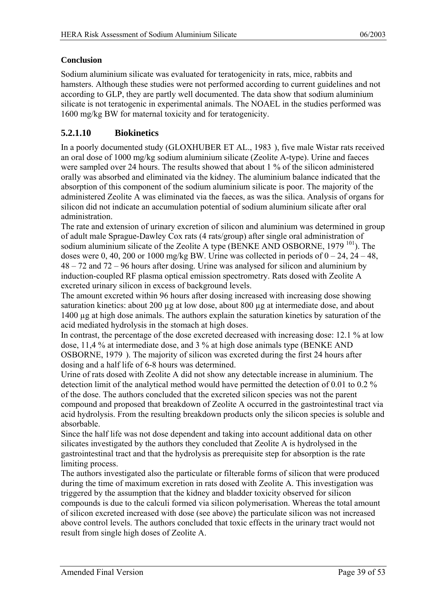#### <span id="page-38-0"></span>**Conclusion**

Sodium aluminium silicate was evaluated for teratogenicity in rats, mice, rabbits and hamsters. Although these studies were not performed according to current guidelines and not according to GLP, they are partly well documented. The data show that sodium aluminium silicate is not teratogenic in experimental animals. The NOAEL in the studies performed was 1600 mg/kg BW for maternal toxicity and for teratogenicity.

### **5.2.1.10 Biokinetics**

In a poorly documented study (GLOXHUBER ET AL., 1983 [\),](#page-26-1) five male Wistar rats received an oral dose of 1000 mg/kg sodium aluminium silicate (Zeolite A-type). Urine and faeces were sampled over 24 hours. The results showed that about 1 % of the silicon administered orally was absorbed and eliminated via the kidney. The aluminium balance indicated that the absorption of this component of the sodium aluminium silicate is poor. The majority of the administered Zeolite A was eliminated via the faeces, as was the silica. Analysis of organs for silicon did not indicate an accumulation potential of sodium aluminium silicate after oral administration.

<span id="page-38-1"></span>The rate and extension of urinary excretion of silicon and aluminium was determined in group of adult male Sprague-Dawley Cox rats (4 rats/group) after single oral administration of sodium aluminium silicate of the Zeolite A type (BENKE AND OSBORNE, 1979<sup>101</sup>). The doses were 0, 40, 200 or 1000 mg/kg BW. Urine was collected in periods of  $0 - 24$ ,  $24 - 48$ , 48 – 72 and 72 – 96 hours after dosing. Urine was analysed for silicon and aluminium by induction-coupled RF plasma optical emission spectrometry. Rats dosed with Zeolite A excreted urinary silicon in excess of background levels.

The amount excreted within 96 hours after dosing increased with increasing dose showing saturation kinetics: about 200 µg at low dose, about 800 µg at intermediate dose, and about 1400 µg at high dose animals. The authors explain the saturation kinetics by saturation of the acid mediated hydrolysis in the stomach at high doses.

In contrast, the percentage of the dose excreted decreased with increasing dose: 12.1 % at low dose, 11,4 % at intermediate dose, and 3 % at high dose animals type (BENKE AND OSBORNE, 1979 [\). T](#page-38-1)he majority of silicon was excreted during the first 24 hours after dosing and a half life of 6-8 hours was determined.

Urine of rats dosed with Zeolite A did not show any detectable increase in aluminium. The detection limit of the analytical method would have permitted the detection of 0.01 to 0.2 % of the dose. The authors concluded that the excreted silicon species was not the parent compound and proposed that breakdown of Zeolite A occurred in the gastrointestinal tract via acid hydrolysis. From the resulting breakdown products only the silicon species is soluble and absorbable.

Since the half life was not dose dependent and taking into account additional data on other silicates investigated by the authors they concluded that Zeolite A is hydrolysed in the gastrointestinal tract and that the hydrolysis as prerequisite step for absorption is the rate limiting process.

The authors investigated also the particulate or filterable forms of silicon that were produced during the time of maximum excretion in rats dosed with Zeolite A. This investigation was triggered by the assumption that the kidney and bladder toxicity observed for silicon compounds is due to the calculi formed via silicon polymerisation. Whereas the total amount of silicon excreted increased with dose (see above) the particulate silicon was not increased above control levels. The authors concluded that toxic effects in the urinary tract would not result from single high doses of Zeolite A.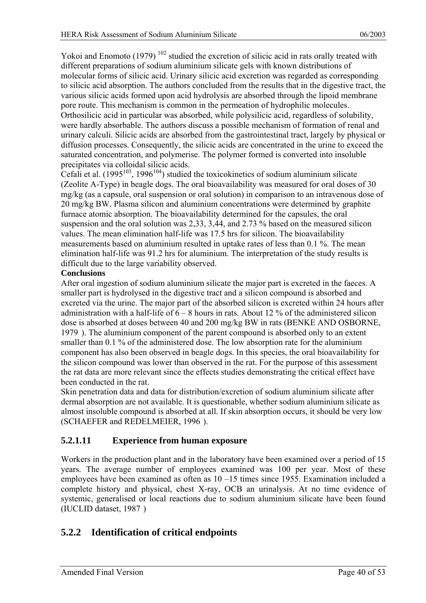<span id="page-39-0"></span>Yokoi and Enomoto (1979)<sup>102</sup> studied the excretion of silicic acid in rats orally treated with different preparations of sodium aluminium silicate gels with known distributions of molecular forms of silicic acid. Urinary silicic acid excretion was regarded as corresponding to silicic acid absorption. The authors concluded from the results that in the digestive tract, the various silicic acids formed upon acid hydrolysis are absorbed through the lipoid membrane pore route. This mechanism is common in the permeation of hydrophilic molecules. Orthosilicic acid in particular was absorbed, while polysilicic acid, regardless of solubility, were hardly absorbable. The authors discuss a possible mechanism of formation of renal and urinary calculi. Silicic acids are absorbed from the gastrointestinal tract, largely by physical or diffusion processes. Consequently, the silicic acids are concentrated in the urine to exceed the saturated concentration, and polymerise. The polymer formed is converted into insoluble precipitates via colloidal silicic acids.

Cefali et al.  $(1995^{103}, 1996^{104})$  studied the toxicokinetics of sodium aluminium silicate (Zeolite A-Type) in beagle dogs. The oral bioavailability was measured for oral doses of 30 mg/kg (as a capsule, oral suspension or oral solution) in comparison to an intravenous dose of 20 mg/kg BW. Plasma silicon and aluminium concentrations were determined by graphite furnace atomic absorption. The bioavailability determined for the capsules, the oral suspension and the oral solution was 2,33, 3,44, and 2.73 % based on the measured silicon values. The mean elimination half-life was 17.5 hrs for silicon. The bioavailability measurements based on aluminium resulted in uptake rates of less than 0.1 %. The mean elimination half-life was 91.2 hrs for aluminium. The interpretation of the study results is difficult due to the large variability observed.

#### **Conclusions**

After oral ingestion of sodium aluminium silicate the major part is excreted in the faeces. A smaller part is hydrolysed in the digestive tract and a silicon compound is absorbed and excreted via the urine. The major part of the absorbed silicon is excreted within 24 hours after administration with a half-life of  $6 - 8$  hours in rats. About 12 % of the administered silicon dose is absorbed at doses between 40 and 200 mg/kg BW in rats (BENKE AND OSBORNE, 1979 [\). T](#page-38-1)he aluminium component of the parent compound is absorbed only to an extent smaller than 0.1 % of the administered dose. The low absorption rate for the aluminium component has also been observed in beagle dogs. In this species, the oral bioavailability for the silicon compound was lower than observed in the rat. For the purpose of this assessment the rat data are more relevant since the effects studies demonstrating the critical effect have been conducted in the rat.

Skin penetration data and data for distribution/excretion of sodium aluminium silicate after dermal absorption are not available. It is questionable, whether sodium aluminium silicate as almost insoluble compound is absorbed at all. If skin absorption occurs, it should be very low (SCHAEFER and REDELMEIER, 1996 [\).](#page-20-2) 

#### **5.2.1.11 Experience from human exposure**

Workers in the production plant and in the laboratory have been examined over a period of 15 years. The average number of employees examined was 100 per year. Most of these employees have been examined as often as 10 –15 times since 1955. Examination included a complete history and physical, chest X-ray, OCB an urinalysis. At no time evidence of systemic, generalised or local reactions due to sodium aluminium silicate have been found (IUCLID dataset, 1987 [\)](#page-10-1) 

### **5.2.2 Identification of critical endpoints**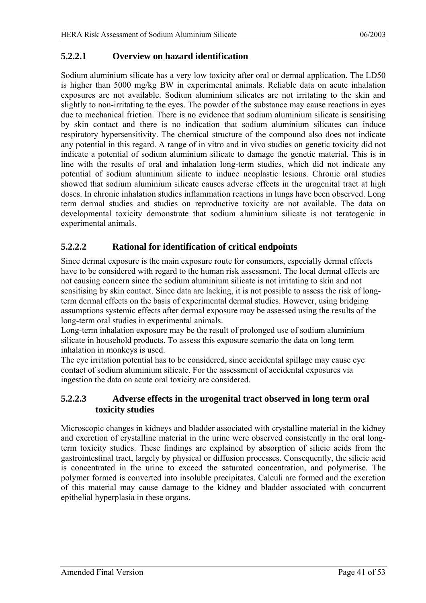#### <span id="page-40-0"></span>**5.2.2.1 Overview on hazard identification**

Sodium aluminium silicate has a very low toxicity after oral or dermal application. The LD50 is higher than 5000 mg/kg BW in experimental animals. Reliable data on acute inhalation exposures are not available. Sodium aluminium silicates are not irritating to the skin and slightly to non-irritating to the eyes. The powder of the substance may cause reactions in eyes due to mechanical friction. There is no evidence that sodium aluminium silicate is sensitising by skin contact and there is no indication that sodium aluminium silicates can induce respiratory hypersensitivity. The chemical structure of the compound also does not indicate any potential in this regard. A range of in vitro and in vivo studies on genetic toxicity did not indicate a potential of sodium aluminium silicate to damage the genetic material. This is in line with the results of oral and inhalation long-term studies, which did not indicate any potential of sodium aluminium silicate to induce neoplastic lesions. Chronic oral studies showed that sodium aluminium silicate causes adverse effects in the urogenital tract at high doses. In chronic inhalation studies inflammation reactions in lungs have been observed. Long term dermal studies and studies on reproductive toxicity are not available. The data on developmental toxicity demonstrate that sodium aluminium silicate is not teratogenic in experimental animals.

### **5.2.2.2 Rational for identification of critical endpoints**

Since dermal exposure is the main exposure route for consumers, especially dermal effects have to be considered with regard to the human risk assessment. The local dermal effects are not causing concern since the sodium aluminium silicate is not irritating to skin and not sensitising by skin contact. Since data are lacking, it is not possible to assess the risk of longterm dermal effects on the basis of experimental dermal studies. However, using bridging assumptions systemic effects after dermal exposure may be assessed using the results of the long-term oral studies in experimental animals.

Long-term inhalation exposure may be the result of prolonged use of sodium aluminium silicate in household products. To assess this exposure scenario the data on long term inhalation in monkeys is used.

The eye irritation potential has to be considered, since accidental spillage may cause eye contact of sodium aluminium silicate. For the assessment of accidental exposures via ingestion the data on acute oral toxicity are considered.

#### **5.2.2.3 Adverse effects in the urogenital tract observed in long term oral toxicity studies**

Microscopic changes in kidneys and bladder associated with crystalline material in the kidney and excretion of crystalline material in the urine were observed consistently in the oral longterm toxicity studies. These findings are explained by absorption of silicic acids from the gastrointestinal tract, largely by physical or diffusion processes. Consequently, the silicic acid is concentrated in the urine to exceed the saturated concentration, and polymerise. The polymer formed is converted into insoluble precipitates. Calculi are formed and the excretion of this material may cause damage to the kidney and bladder associated with concurrent epithelial hyperplasia in these organs.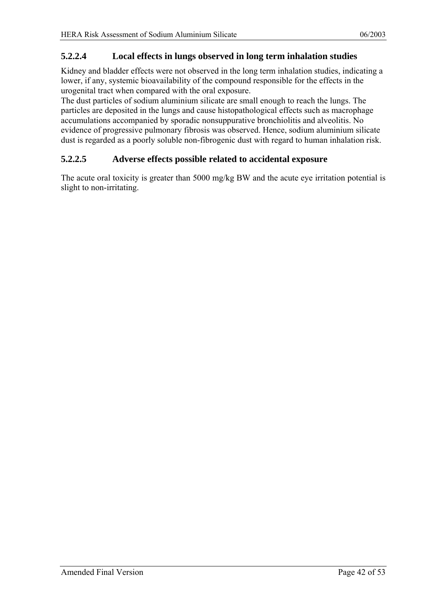#### <span id="page-41-0"></span>**5.2.2.4 Local effects in lungs observed in long term inhalation studies**

Kidney and bladder effects were not observed in the long term inhalation studies, indicating a lower, if any, systemic bioavailability of the compound responsible for the effects in the urogenital tract when compared with the oral exposure.

The dust particles of sodium aluminium silicate are small enough to reach the lungs. The particles are deposited in the lungs and cause histopathological effects such as macrophage accumulations accompanied by sporadic nonsuppurative bronchiolitis and alveolitis. No evidence of progressive pulmonary fibrosis was observed. Hence, sodium aluminium silicate dust is regarded as a poorly soluble non-fibrogenic dust with regard to human inhalation risk.

#### **5.2.2.5 Adverse effects possible related to accidental exposure**

The acute oral toxicity is greater than 5000 mg/kg BW and the acute eye irritation potential is slight to non-irritating.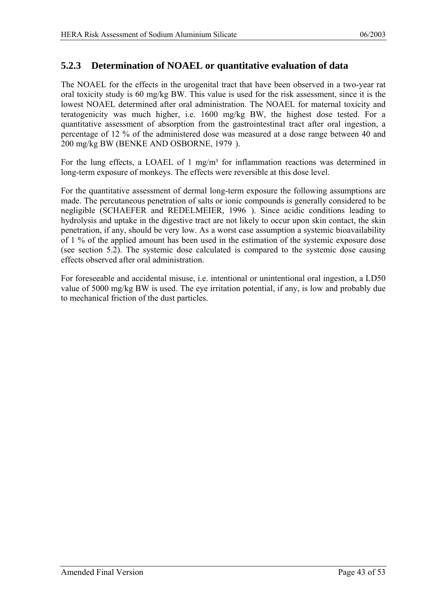### <span id="page-42-0"></span>**5.2.3 Determination of NOAEL or quantitative evaluation of data**

The NOAEL for the effects in the urogenital tract that have been observed in a two-year rat oral toxicity study is 60 mg/kg BW. This value is used for the risk assessment, since it is the lowest NOAEL determined after oral administration. The NOAEL for maternal toxicity and teratogenicity was much higher, i.e. 1600 mg/kg BW, the highest dose tested. For a quantitative assessment of absorption from the gastrointestinal tract after oral ingestion, a percentage of 12 % of the administered dose was measured at a dose range between 40 and 200 mg/kg BW (BENKE AND OSBORNE, 1979 [\).](#page-38-1) 

For the lung effects, a LOAEL of 1 mg/m<sup>3</sup> for inflammation reactions was determined in long-term exposure of monkeys. The effects were reversible at this dose level.

For the quantitative assessment of dermal long-term exposure the following assumptions are made. The percutaneous penetration of salts or ionic compounds is generally considered to be negligible (SCHAEFER and REDELMEIER, 1996 [\).](#page-20-2) Since acidic conditions leading to hydrolysis and uptake in the digestive tract are not likely to occur upon skin contact, the skin penetration, if any, should be very low. As a worst case assumption a systemic bioavailability of 1 % of the applied amount has been used in the estimation of the systemic exposure dose (see section 5.2). The systemic dose calculated is compared to the systemic dose causing effects observed after oral administration.

For foreseeable and accidental misuse, i.e. intentional or unintentional oral ingestion, a LD50 value of 5000 mg/kg BW is used. The eye irritation potential, if any, is low and probably due to mechanical friction of the dust particles.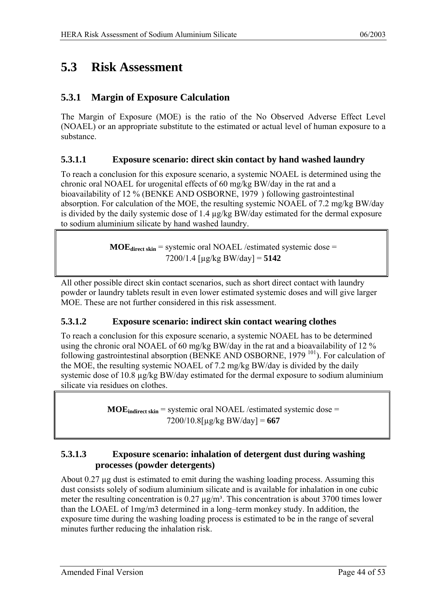## <span id="page-43-0"></span>**5.3 Risk Assessment**

### **5.3.1 Margin of Exposure Calculation**

The Margin of Exposure (MOE) is the ratio of the No Observed Adverse Effect Level (NOAEL) or an appropriate substitute to the estimated or actual level of human exposure to a substance.

#### **5.3.1.1 Exposure scenario: direct skin contact by hand washed laundry**

To reach a conclusion for this exposure scenario, a systemic NOAEL is determined using the chronic oral NOAEL for urogenital effects of 60 mg/kg BW/day in the rat and a bioavailability of 12 % (BENKE AND OSBORNE, 1979 [\) fo](#page-38-1)llowing gastrointestinal absorption. For calculation of the MOE, the resulting systemic NOAEL of 7.2 mg/kg BW/day is divided by the daily systemic dose of 1.4 µg/kg BW/day estimated for the dermal exposure to sodium aluminium silicate by hand washed laundry.

> $\textbf{MOE}_{\text{direct skin}}$  = systemic oral NOAEL /estimated systemic dose = 7200/1.4 [µg/kg BW/day] = **5142**

All other possible direct skin contact scenarios, such as short direct contact with laundry powder or laundry tablets result in even lower estimated systemic doses and will give larger MOE. These are not further considered in this risk assessment.

#### **5.3.1.2 Exposure scenario: indirect skin contact wearing clothes**

To reach a conclusion for this exposure scenario, a systemic NOAEL has to be determined using the chronic oral NOAEL of 60 mg/kg BW/day in the rat and a bioavailability of 12 % following gastrointestinal absorption (BENKE AND OSBORNE, 1979<sup>101</sup>). For calculation of the MOE, the resulting systemic NOAEL of 7.2 mg/kg BW/day is divided by the daily systemic dose of 10.8  $\mu$ g/kg BW/day estimated for the dermal exposure to sodium aluminium silicate via residues on clothes.

> **MOE** indirect skin = systemic oral NOAEL /estimated systemic dose = 7200/10.8[µg/kg BW/day] = **667**

#### **5.3.1.3 Exposure scenario: inhalation of detergent dust during washing processes (powder detergents)**

About  $0.27 \mu$ g dust is estimated to emit during the washing loading process. Assuming this dust consists solely of sodium aluminium silicate and is available for inhalation in one cubic meter the resulting concentration is  $0.27 \mu g/m<sup>3</sup>$ . This concentration is about 3700 times lower than the LOAEL of 1mg/m3 determined in a long–term monkey study. In addition, the exposure time during the washing loading process is estimated to be in the range of several minutes further reducing the inhalation risk.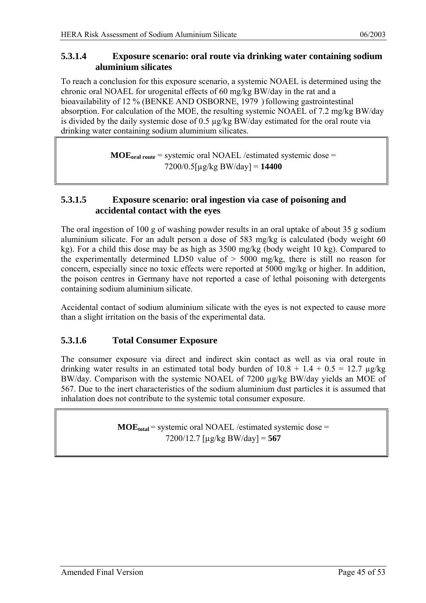#### <span id="page-44-0"></span>**5.3.1.4 Exposure scenario: oral route via drinking water containing sodium aluminium silicates**

To reach a conclusion for this exposure scenario, a systemic NOAEL is determined using the chronic oral NOAEL for urogenital effects of 60 mg/kg BW/day in the rat and a bioavailability of 12 % (BENKE AND OSBORNE, 1979) following gastrointestinal absorption. For calculation of the MOE, the resulting systemic NOAEL of 7.2 mg/kg BW/day is divided by the daily systemic dose of 0.5 µg/kg BW/day estimated for the oral route via drinking water containing sodium aluminium silicates.

> **MOEoral route** = systemic oral NOAEL /estimated systemic dose = 7200/0.5[µg/kg BW/day] = **14400**

#### **5.3.1.5 Exposure scenario: oral ingestion via case of poisoning and accidental contact with the eyes**

The oral ingestion of 100 g of washing powder results in an oral uptake of about 35 g sodium aluminium silicate. For an adult person a dose of 583 mg/kg is calculated (body weight 60 kg). For a child this dose may be as high as 3500 mg/kg (body weight 10 kg). Compared to the experimentally determined LD50 value of  $> 5000$  mg/kg, there is still no reason for concern, especially since no toxic effects were reported at 5000 mg/kg or higher. In addition, the poison centres in Germany have not reported a case of lethal poisoning with detergents containing sodium aluminium silicate.

Accidental contact of sodium aluminium silicate with the eyes is not expected to cause more than a slight irritation on the basis of the experimental data.

#### **5.3.1.6 Total Consumer Exposure**

The consumer exposure via direct and indirect skin contact as well as via oral route in drinking water results in an estimated total body burden of  $10.8 + 1.4 + 0.5 = 12.7 \text{ µg/kg}$ BW/day. Comparison with the systemic NOAEL of 7200 µg/kg BW/day yields an MOE of 567. Due to the inert characteristics of the sodium aluminium dust particles it is assumed that inhalation does not contribute to the systemic total consumer exposure.

> $\textbf{MOE}_{\text{total}}$  = systemic oral NOAEL /estimated systemic dose = 7200/12.7 [µg/kg BW/day] = **567**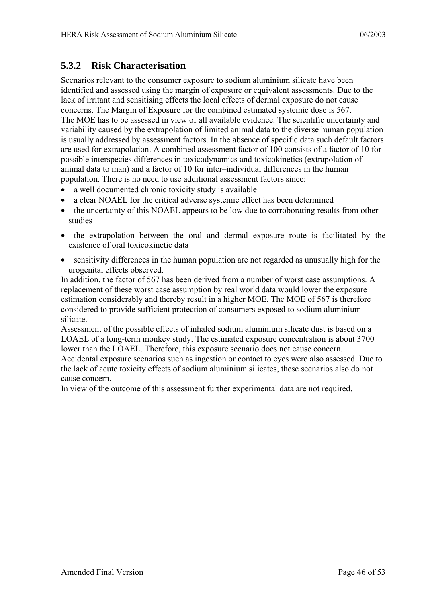### <span id="page-45-0"></span>**5.3.2 Risk Characterisation**

Scenarios relevant to the consumer exposure to sodium aluminium silicate have been identified and assessed using the margin of exposure or equivalent assessments. Due to the lack of irritant and sensitising effects the local effects of dermal exposure do not cause concerns. The Margin of Exposure for the combined estimated systemic dose is 567. The MOE has to be assessed in view of all available evidence. The scientific uncertainty and variability caused by the extrapolation of limited animal data to the diverse human population is usually addressed by assessment factors. In the absence of specific data such default factors are used for extrapolation. A combined assessment factor of 100 consists of a factor of 10 for possible interspecies differences in toxicodynamics and toxicokinetics (extrapolation of animal data to man) and a factor of 10 for inter–individual differences in the human population. There is no need to use additional assessment factors since:

- a well documented chronic toxicity study is available
- a clear NOAEL for the critical adverse systemic effect has been determined
- the uncertainty of this NOAEL appears to be low due to corroborating results from other studies
- the extrapolation between the oral and dermal exposure route is facilitated by the existence of oral toxicokinetic data
- sensitivity differences in the human population are not regarded as unusually high for the urogenital effects observed.

In addition, the factor of 567 has been derived from a number of worst case assumptions. A replacement of these worst case assumption by real world data would lower the exposure estimation considerably and thereby result in a higher MOE. The MOE of 567 is therefore considered to provide sufficient protection of consumers exposed to sodium aluminium silicate.

Assessment of the possible effects of inhaled sodium aluminium silicate dust is based on a LOAEL of a long-term monkey study. The estimated exposure concentration is about 3700 lower than the LOAEL. Therefore, this exposure scenario does not cause concern. Accidental exposure scenarios such as ingestion or contact to eyes were also assessed. Due to the lack of acute toxicity effects of sodium aluminium silicates, these scenarios also do not cause concern.

In view of the outcome of this assessment further experimental data are not required.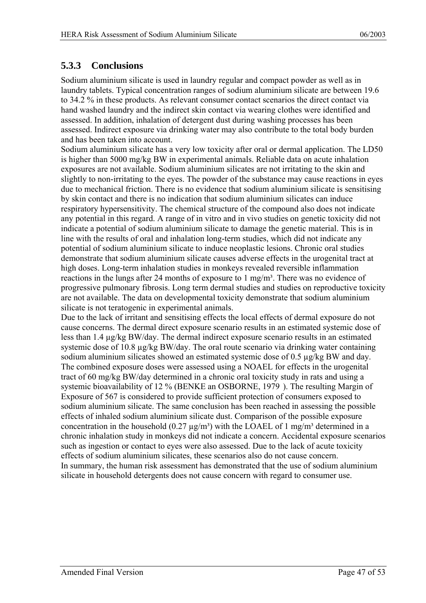### <span id="page-46-0"></span>**5.3.3 Conclusions**

Sodium aluminium silicate is used in laundry regular and compact powder as well as in laundry tablets. Typical concentration ranges of sodium aluminium silicate are between 19.6 to 34.2 % in these products. As relevant consumer contact scenarios the direct contact via hand washed laundry and the indirect skin contact via wearing clothes were identified and assessed. In addition, inhalation of detergent dust during washing processes has been assessed. Indirect exposure via drinking water may also contribute to the total body burden and has been taken into account.

Sodium aluminium silicate has a very low toxicity after oral or dermal application. The LD50 is higher than 5000 mg/kg BW in experimental animals. Reliable data on acute inhalation exposures are not available. Sodium aluminium silicates are not irritating to the skin and slightly to non-irritating to the eyes. The powder of the substance may cause reactions in eyes due to mechanical friction. There is no evidence that sodium aluminium silicate is sensitising by skin contact and there is no indication that sodium aluminium silicates can induce respiratory hypersensitivity. The chemical structure of the compound also does not indicate any potential in this regard. A range of in vitro and in vivo studies on genetic toxicity did not indicate a potential of sodium aluminium silicate to damage the genetic material. This is in line with the results of oral and inhalation long-term studies, which did not indicate any potential of sodium aluminium silicate to induce neoplastic lesions. Chronic oral studies demonstrate that sodium aluminium silicate causes adverse effects in the urogenital tract at high doses. Long-term inhalation studies in monkeys revealed reversible inflammation reactions in the lungs after 24 months of exposure to 1 mg/m<sup>3</sup>. There was no evidence of progressive pulmonary fibrosis. Long term dermal studies and studies on reproductive toxicity are not available. The data on developmental toxicity demonstrate that sodium aluminium silicate is not teratogenic in experimental animals.

Due to the lack of irritant and sensitising effects the local effects of dermal exposure do not cause concerns. The dermal direct exposure scenario results in an estimated systemic dose of less than 1.4 µg/kg BW/day. The dermal indirect exposure scenario results in an estimated systemic dose of 10.8  $\mu$ g/kg BW/day. The oral route scenario via drinking water containing sodium aluminium silicates showed an estimated systemic dose of 0.5 µg/kg BW and day. The combined exposure doses were assessed using a NOAEL for effects in the urogenital tract of 60 mg/kg BW/day determined in a chronic oral toxicity study in rats and using a systemic bioavailability of 12 % (BENKE an OSBORNE, 1979 [\). T](#page-38-1)he resulting Margin of Exposure of 567 is considered to provide sufficient protection of consumers exposed to sodium aluminium silicate. The same conclusion has been reached in assessing the possible effects of inhaled sodium aluminium silicate dust. Comparison of the possible exposure concentration in the household  $(0.27 \mu g/m<sup>3</sup>)$  with the LOAEL of 1 mg/m<sup>3</sup> determined in a chronic inhalation study in monkeys did not indicate a concern. Accidental exposure scenarios such as ingestion or contact to eyes were also assessed. Due to the lack of acute toxicity effects of sodium aluminium silicates, these scenarios also do not cause concern. In summary, the human risk assessment has demonstrated that the use of sodium aluminium silicate in household detergents does not cause concern with regard to consumer use.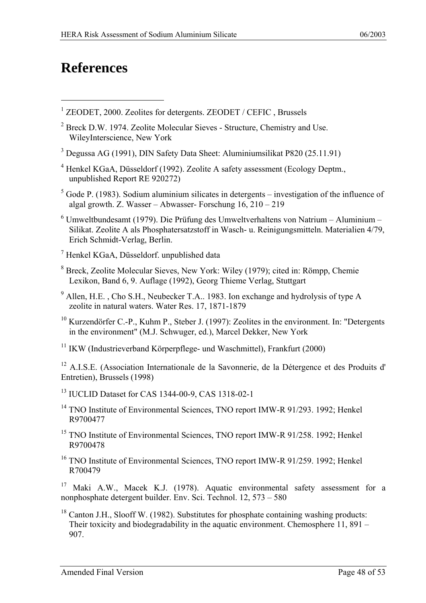## <span id="page-47-0"></span>**References**

 $\overline{a}$ 

- <sup>1</sup> ZEODET, 2000. Zeolites for detergents. ZEODET / CEFIC, Brussels
- <sup>2</sup> Breck D.W. 1974. Zeolite Molecular Sieves Structure, Chemistry and Use. WileyInterscience, New York
- 3 Degussa AG (1991), DIN Safety Data Sheet: Aluminiumsilikat P820 (25.11.91)
- $4$  Henkel KGaA, Düsseldorf (1992). Zeolite A safety assessment (Ecology Deptm., unpublished Report RE 920272)
- $<sup>5</sup>$  Gode P. (1983). Sodium aluminium silicates in detergents investigation of the influence of</sup> algal growth. Z. Wasser – Abwasser- Forschung 16, 210 – 219
- $6$  Umweltbundesamt (1979). Die Prüfung des Umweltverhaltens von Natrium Aluminium Silikat. Zeolite A als Phosphatersatzstoff in Wasch- u. Reinigungsmitteln. Materialien 4/79, Erich Schmidt-Verlag, Berlin.
- 7 Henkel KGaA, Düsseldorf. unpublished data
- 8 Breck, Zeolite Molecular Sieves, New York: Wiley (1979); cited in: Römpp, Chemie Lexikon, Band 6, 9. Auflage (1992), Georg Thieme Verlag, Stuttgart
- $9$  Allen, H.E., Cho S.H., Neubecker T.A.. 1983. Ion exchange and hydrolysis of type A zeolite in natural waters. Water Res. 17, 1871-1879
- <sup>10</sup> Kurzendörfer C.-P., Kuhm P., Steber J. (1997): Zeolites in the environment. In: "Detergents in the environment" (M.J. Schwuger, ed.), Marcel Dekker, New York
- <sup>11</sup> IKW (Industrieverband Körperpflege- und Waschmittel), Frankfurt (2000)

<sup>12</sup> A.I.S.E. (Association Internationale de la Savonnerie, de la Détergence et des Produits d' Entretien), Brussels (1998)

- 13 IUCLID Dataset for CAS 1344-00-9, CAS 1318-02-1
- <sup>14</sup> TNO Institute of Environmental Sciences, TNO report IMW-R 91/293, 1992; Henkel R9700477
- <sup>15</sup> TNO Institute of Environmental Sciences, TNO report IMW-R 91/258, 1992; Henkel R9700478
- <sup>16</sup> TNO Institute of Environmental Sciences, TNO report IMW-R 91/259, 1992; Henkel R700479

<sup>17</sup> Maki A.W., Macek K.J. (1978). Aquatic environmental safety assessment for a nonphosphate detergent builder. Env. Sci. Technol. 12, 573 – 580

<sup>18</sup> Canton J.H., Slooff W. (1982). Substitutes for phosphate containing washing products: Their toxicity and biodegradability in the aquatic environment. Chemosphere 11, 891 – 907.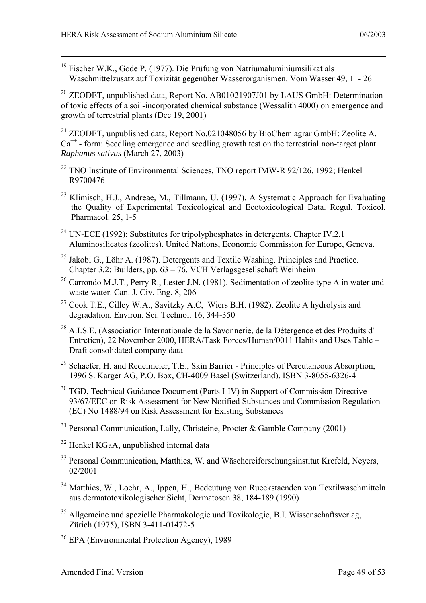19 Fischer W.K., Gode P. (1977). Die Prüfung von Natriumaluminiumsilikat als Waschmittelzusatz auf Toxizität gegenüber Wasserorganismen. Vom Wasser 49, 11- 26

<sup>20</sup> ZEODET, unpublished data, Report No. AB01021907J01 by LAUS GmbH: Determination of toxic effects of a soil-incorporated chemical substance (Wessalith 4000) on emergence and growth of terrestrial plants (Dec 19, 2001)

<sup>21</sup> ZEODET, unpublished data, Report No.021048056 by BioChem agrar GmbH: Zeolite A,  $Ca<sup>++</sup>$  - form: Seedling emergence and seedling growth test on the terrestrial non-target plant *Raphanus sativus* (March 27, 2003)

- $22$  TNO Institute of Environmental Sciences, TNO report IMW-R 92/126. 1992; Henkel R9700476
- <sup>23</sup> Klimisch, H.J., Andreae, M., Tillmann, U. (1997). A Systematic Approach for Evaluating the Quality of Experimental Toxicological and Ecotoxicological Data. Regul. Toxicol. Pharmacol. 25, 1-5
- <sup>24</sup> UN-ECE (1992): Substitutes for tripolyphosphates in detergents. Chapter IV.2.1 Aluminosilicates (zeolites). United Nations, Economic Commission for Europe, Geneva.
- <sup>25</sup> Jakobi G., Löhr A. (1987). Detergents and Textile Washing. Principles and Practice. Chapter 3.2: Builders, pp. 63 – 76. VCH Verlagsgesellschaft Weinheim
- <sup>26</sup> Carrondo M.J.T., Perry R., Lester J.N. (1981). Sedimentation of zeolite type A in water and waste water. Can. J. Civ. Eng. 8, 206
- 27 Cook T.E., Cilley W.A., Savitzky A.C, Wiers B.H. (1982). Zeolite A hydrolysis and degradation. Environ. Sci. Technol. 16, 344-350
- 28 A.I.S.E. (Association Internationale de la Savonnerie, de la Détergence et des Produits d' Entretien), 22 November 2000, HERA/Task Forces/Human/0011 Habits and Uses Table – Draft consolidated company data
- <sup>29</sup> Schaefer, H. and Redelmeier, T.E., Skin Barrier Principles of Percutaneous Absorption, 1996 S. Karger AG, P.O. Box, CH-4009 Basel (Switzerland), ISBN 3-8055-6326-4
- <sup>30</sup> TGD, Technical Guidance Document (Parts I-IV) in Support of Commission Directive 93/67/EEC on Risk Assessment for New Notified Substances and Commission Regulation (EC) No 1488/94 on Risk Assessment for Existing Substances
- <sup>31</sup> Personal Communication, Lally, Christeine, Procter & Gamble Company (2001)
- 32 Henkel KGaA, unpublished internal data
- <sup>33</sup> Personal Communication, Matthies, W. and Wäschereiforschungsinstitut Krefeld, Neyers, 02/2001
- 34 Matthies, W., Loehr, A., Ippen, H., Bedeutung von Rueckstaenden von Textilwaschmitteln aus dermatotoxikologischer Sicht, Dermatosen 38, 184-189 (1990)
- <sup>35</sup> Allgemeine und spezielle Pharmakologie und Toxikologie, B.I. Wissenschaftsverlag, Zürich (1975), ISBN 3-411-01472-5
- 36 EPA (Environmental Protection Agency), 1989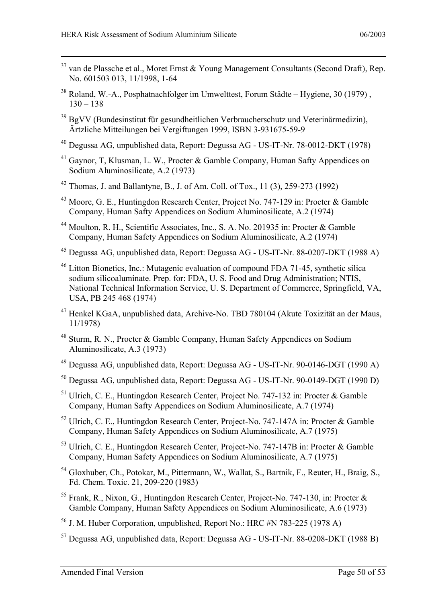- $37$  van de Plassche et al., Moret Ernst & Young Management Consultants (Second Draft), Rep. No. 601503 013, 11/1998, 1-64
- $38$  Roland, W.-A., Posphatnachfolger im Umwelttest, Forum Städte Hygiene, 30 (1979),  $130 - 138$
- 39 BgVV (Bundesinstitut für gesundheitlichen Verbraucherschutz und Veterinärmedizin), Ärtzliche Mitteilungen bei Vergiftungen 1999, ISBN 3-931675-59-9
- 40 Degussa AG, unpublished data, Report: Degussa AG US-IT-Nr. 78-0012-DKT (1978)
- 41 Gaynor, T, Klusman, L. W., Procter & Gamble Company, Human Safty Appendices on Sodium Aluminosilicate, A.2 (1973)
- <sup>42</sup> Thomas, J. and Ballantyne, B., J. of Am. Coll. of Tox., 11 (3), 259-273 (1992)
- 43 Moore, G. E., Huntingdon Research Center, Project No. 747-129 in: Procter & Gamble Company, Human Safty Appendices on Sodium Aluminosilicate, A.2 (1974)
- 44 Moulton, R. H., Scientific Associates, Inc., S. A. No. 201935 in: Procter & Gamble Company, Human Safety Appendices on Sodium Aluminosilicate, A.2 (1974)
- 45 Degussa AG, unpublished data, Report: Degussa AG US-IT-Nr. 88-0207-DKT (1988 A)
- 46 Litton Bionetics, Inc.: Mutagenic evaluation of compound FDA 71-45, synthetic silica sodium silicoaluminate. Prep. for: FDA, U. S. Food and Drug Administration; NTIS, National Technical Information Service, U. S. Department of Commerce, Springfield, VA, USA, PB 245 468 (1974)
- 47 Henkel KGaA, unpublished data, Archive-No. TBD 780104 (Akute Toxizität an der Maus, 11/1978)
- 48 Sturm, R. N., Procter & Gamble Company, Human Safety Appendices on Sodium Aluminosilicate, A.3 (1973)
- 49 Degussa AG, unpublished data, Report: Degussa AG US-IT-Nr. 90-0146-DGT (1990 A)
- 50 Degussa AG, unpublished data, Report: Degussa AG US-IT-Nr. 90-0149-DGT (1990 D)
- 51 Ulrich, C. E., Huntingdon Research Center, Project No. 747-132 in: Procter & Gamble Company, Human Safty Appendices on Sodium Aluminosilicate, A.7 (1974)
- 52 Ulrich, C. E., Huntingdon Research Center, Project-No. 747-147A in: Procter & Gamble Company, Human Safety Appendices on Sodium Aluminosilicate, A.7 (1975)
- 53 Ulrich, C. E., Huntingdon Research Center, Project-No. 747-147B in: Procter & Gamble Company, Human Safety Appendices on Sodium Aluminosilicate, A.7 (1975)
- 54 Gloxhuber, Ch., Potokar, M., Pittermann, W., Wallat, S., Bartnik, F., Reuter, H., Braig, S., Fd. Chem. Toxic. 21, 209-220 (1983)
- $55$  Frank, R., Nixon, G., Huntingdon Research Center, Project-No. 747-130, in: Procter & Gamble Company, Human Safety Appendices on Sodium Aluminosilicate, A.6 (1973)
- <sup>56</sup> J. M. Huber Corporation, unpublished, Report No.: HRC #N 783-225 (1978 A)
- 57 Degussa AG, unpublished data, Report: Degussa AG US-IT-Nr. 88-0208-DKT (1988 B)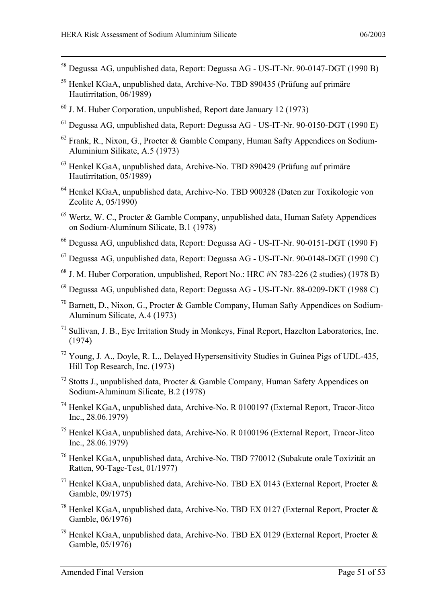- 58 Degussa AG, unpublished data, Report: Degussa AG US-IT-Nr. 90-0147-DGT (1990 B)
- 59 Henkel KGaA, unpublished data, Archive-No. TBD 890435 (Prüfung auf primäre Hautirritation, 06/1989)
- $60$  J. M. Huber Corporation, unpublished, Report date January 12 (1973)
- 61 Degussa AG, unpublished data, Report: Degussa AG US-IT-Nr. 90-0150-DGT (1990 E)
- 62 Frank, R., Nixon, G., Procter & Gamble Company, Human Safty Appendices on Sodium-Aluminium Silikate, A.5 (1973)
- 63 Henkel KGaA, unpublished data, Archive-No. TBD 890429 (Prüfung auf primäre Hautirritation, 05/1989)
- 64 Henkel KGaA, unpublished data, Archive-No. TBD 900328 (Daten zur Toxikologie von Zeolite A, 05/1990)
- 65 Wertz, W. C., Procter & Gamble Company, unpublished data, Human Safety Appendices on Sodium-Aluminum Silicate, B.1 (1978)
- 66 Degussa AG, unpublished data, Report: Degussa AG US-IT-Nr. 90-0151-DGT (1990 F)
- 67 Degussa AG, unpublished data, Report: Degussa AG US-IT-Nr. 90-0148-DGT (1990 C)
- $68$  J. M. Huber Corporation, unpublished, Report No.: HRC #N 783-226 (2 studies) (1978 B)
- 69 Degussa AG, unpublished data, Report: Degussa AG US-IT-Nr. 88-0209-DKT (1988 C)
- 70 Barnett, D., Nixon, G., Procter & Gamble Company, Human Safty Appendices on Sodium-Aluminum Silicate, A.4 (1973)
- 71 Sullivan, J. B., Eye Irritation Study in Monkeys, Final Report, Hazelton Laboratories, Inc. (1974)
- 72 Young, J. A., Doyle, R. L., Delayed Hypersensitivity Studies in Guinea Pigs of UDL-435, Hill Top Research, Inc. (1973)
- 73 Stotts J., unpublished data, Procter & Gamble Company, Human Safety Appendices on Sodium-Aluminum Silicate, B.2 (1978)
- 74 Henkel KGaA, unpublished data, Archive-No. R 0100197 (External Report, Tracor-Jitco Inc., 28.06.1979)
- 75 Henkel KGaA, unpublished data, Archive-No. R 0100196 (External Report, Tracor-Jitco Inc., 28.06.1979)
- 76 Henkel KGaA, unpublished data, Archive-No. TBD 770012 (Subakute orale Toxizität an Ratten, 90-Tage-Test, 01/1977)
- <sup>77</sup> Henkel KGaA, unpublished data, Archive-No. TBD EX 0143 (External Report, Procter  $\&$ Gamble, 09/1975)
- <sup>78</sup> Henkel KGaA, unpublished data, Archive-No. TBD EX 0127 (External Report, Procter  $\&$ Gamble, 06/1976)
- <sup>79</sup> Henkel KGaA, unpublished data, Archive-No. TBD EX 0129 (External Report, Procter  $\&$ Gamble, 05/1976)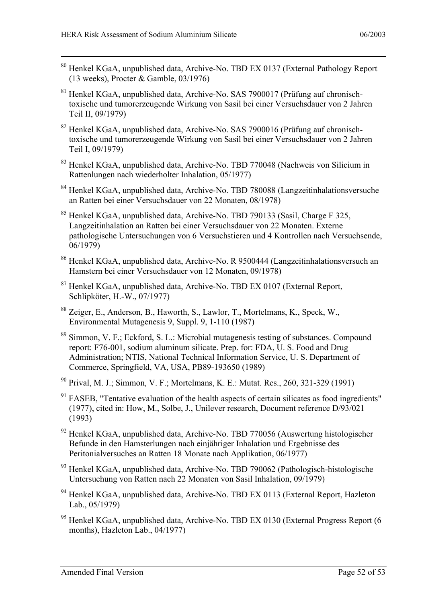- 80 Henkel KGaA, unpublished data, Archive-No. TBD EX 0137 (External Pathology Report (13 weeks), Procter & Gamble, 03/1976)
- 81 Henkel KGaA, unpublished data, Archive-No. SAS 7900017 (Prüfung auf chronischtoxische und tumorerzeugende Wirkung von Sasil bei einer Versuchsdauer von 2 Jahren Teil II, 09/1979)
- 82 Henkel KGaA, unpublished data, Archive-No. SAS 7900016 (Prüfung auf chronischtoxische und tumorerzeugende Wirkung von Sasil bei einer Versuchsdauer von 2 Jahren Teil I, 09/1979)
- 83 Henkel KGaA, unpublished data, Archive-No. TBD 770048 (Nachweis von Silicium in Rattenlungen nach wiederholter Inhalation, 05/1977)
- 84 Henkel KGaA, unpublished data, Archive-No. TBD 780088 (Langzeitinhalationsversuche an Ratten bei einer Versuchsdauer von 22 Monaten, 08/1978)
- 85 Henkel KGaA, unpublished data, Archive-No. TBD 790133 (Sasil, Charge F 325, Langzeitinhalation an Ratten bei einer Versuchsdauer von 22 Monaten. Externe pathologische Untersuchungen von 6 Versuchstieren und 4 Kontrollen nach Versuchsende, 06/1979)
- 86 Henkel KGaA, unpublished data, Archive-No. R 9500444 (Langzeitinhalationsversuch an Hamstern bei einer Versuchsdauer von 12 Monaten, 09/1978)
- 87 Henkel KGaA, unpublished data, Archive-No. TBD EX 0107 (External Report, Schlipköter, H.-W., 07/1977)
- 88 Zeiger, E., Anderson, B., Haworth, S., Lawlor, T., Mortelmans, K., Speck, W., Environmental Mutagenesis 9, Suppl. 9, 1-110 (1987)
- 89 Simmon, V. F.; Eckford, S. L.: Microbial mutagenesis testing of substances. Compound report: F76-001, sodium aluminum silicate. Prep. for: FDA, U. S. Food and Drug Administration; NTIS, National Technical Information Service, U. S. Department of Commerce, Springfield, VA, USA, PB89-193650 (1989)
- 90 Prival, M. J.; Simmon, V. F.; Mortelmans, K. E.: Mutat. Res., 260, 321-329 (1991)
- $91$  FASEB, "Tentative evaluation of the health aspects of certain silicates as food ingredients" (1977), cited in: How, M., Solbe, J., Unilever research, Document reference D/93/021 (1993)
- 92 Henkel KGaA, unpublished data, Archive-No. TBD 770056 (Auswertung histologischer Befunde in den Hamsterlungen nach einjähriger Inhalation und Ergebnisse des Peritonialversuches an Ratten 18 Monate nach Applikation, 06/1977)
- 93 Henkel KGaA, unpublished data, Archive-No. TBD 790062 (Pathologisch-histologische Untersuchung von Ratten nach 22 Monaten von Sasil Inhalation, 09/1979)
- <sup>94</sup> Henkel KGaA, unpublished data, Archive-No. TBD EX 0113 (External Report, Hazleton Lab., 05/1979)
- <sup>95</sup> Henkel KGaA, unpublished data, Archive-No. TBD EX 0130 (External Progress Report (6) months), Hazleton Lab., 04/1977)